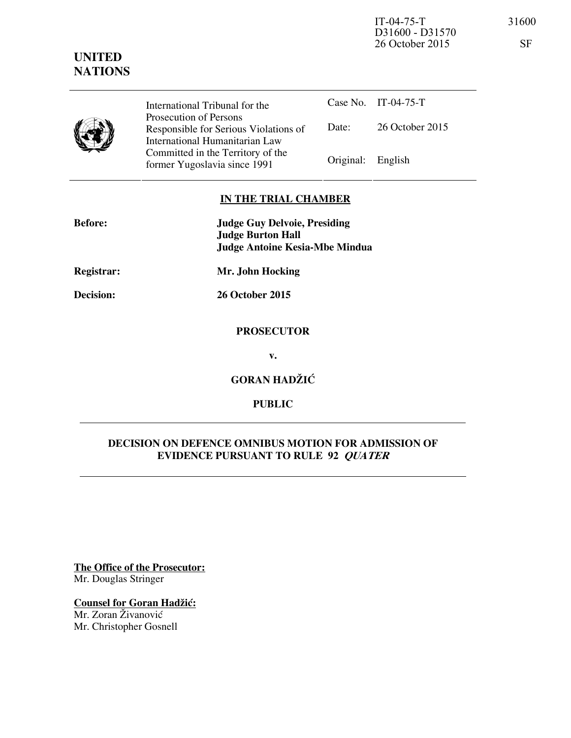IT-04-75-T 31600 D31600 - D31570 26 October 2015 SF

|  | International Tribunal for the                                                                    |                   | Case No. IT-04-75-T |
|--|---------------------------------------------------------------------------------------------------|-------------------|---------------------|
|  | Prosecution of Persons<br>Responsible for Serious Violations of<br>International Humanitarian Law | Date:             | 26 October 2015     |
|  | Committed in the Territory of the<br>former Yugoslavia since 1991                                 | Original: English |                     |

## **IN THE TRIAL CHAMBER**

| <b>Before:</b>    | <b>Judge Guy Delvoie, Presiding</b><br><b>Judge Burton Hall</b><br><b>Judge Antoine Kesia-Mbe Mindua</b> |
|-------------------|----------------------------------------------------------------------------------------------------------|
| <b>Registrar:</b> | Mr. John Hocking                                                                                         |
| Decision:         | 26 October 2015                                                                                          |
|                   | <b>PROSECUTOR</b>                                                                                        |

**v.** 

**GORAN HADŽIĆ** 

**PUBLIC** 

# **DECISION ON DEFENCE OMNIBUS MOTION FOR ADMISSION OF EVIDENCE PURSUANT TO RULE 92 QUATER**

**The Office of the Prosecutor:** Mr. Douglas Stringer

**Counsel for Goran Hadžić:** Mr. Zoran Živanović

Mr. Christopher Gosnell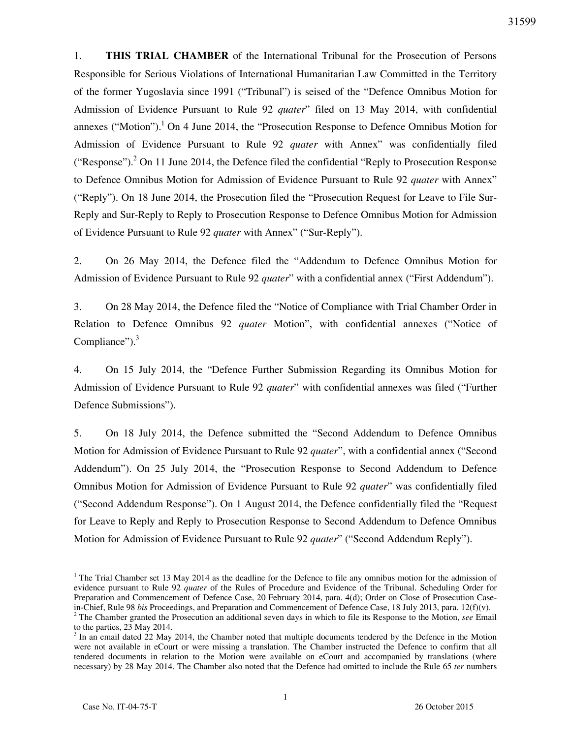1. **THIS TRIAL CHAMBER** of the International Tribunal for the Prosecution of Persons Responsible for Serious Violations of International Humanitarian Law Committed in the Territory of the former Yugoslavia since 1991 ("Tribunal") is seised of the "Defence Omnibus Motion for Admission of Evidence Pursuant to Rule 92 *quater*" filed on 13 May 2014, with confidential annexes ("Motion").<sup>1</sup> On 4 June 2014, the "Prosecution Response to Defence Omnibus Motion for Admission of Evidence Pursuant to Rule 92 *quater* with Annex" was confidentially filed ("Response").<sup>2</sup> On 11 June 2014, the Defence filed the confidential "Reply to Prosecution Response" to Defence Omnibus Motion for Admission of Evidence Pursuant to Rule 92 *quater* with Annex" ("Reply"). On 18 June 2014, the Prosecution filed the "Prosecution Request for Leave to File Sur-Reply and Sur-Reply to Reply to Prosecution Response to Defence Omnibus Motion for Admission of Evidence Pursuant to Rule 92 *quater* with Annex" ("Sur-Reply").

2. On 26 May 2014, the Defence filed the "Addendum to Defence Omnibus Motion for Admission of Evidence Pursuant to Rule 92 *quater*" with a confidential annex ("First Addendum").

3. On 28 May 2014, the Defence filed the "Notice of Compliance with Trial Chamber Order in Relation to Defence Omnibus 92 *quater* Motion", with confidential annexes ("Notice of Compliance" $)$ .<sup>3</sup>

4. On 15 July 2014, the "Defence Further Submission Regarding its Omnibus Motion for Admission of Evidence Pursuant to Rule 92 *quater*" with confidential annexes was filed ("Further Defence Submissions").

5. On 18 July 2014, the Defence submitted the "Second Addendum to Defence Omnibus Motion for Admission of Evidence Pursuant to Rule 92 *quater*", with a confidential annex ("Second Addendum"). On 25 July 2014, the "Prosecution Response to Second Addendum to Defence Omnibus Motion for Admission of Evidence Pursuant to Rule 92 *quater*" was confidentially filed ("Second Addendum Response"). On 1 August 2014, the Defence confidentially filed the "Request for Leave to Reply and Reply to Prosecution Response to Second Addendum to Defence Omnibus Motion for Admission of Evidence Pursuant to Rule 92 *quater*" ("Second Addendum Reply").

<sup>&</sup>lt;sup>1</sup> The Trial Chamber set 13 May 2014 as the deadline for the Defence to file any omnibus motion for the admission of evidence pursuant to Rule 92 *quater* of the Rules of Procedure and Evidence of the Tribunal. Scheduling Order for Preparation and Commencement of Defence Case, 20 February 2014, para. 4(d); Order on Close of Prosecution Casein-Chief, Rule 98 *bis* Proceedings, and Preparation and Commencement of Defence Case, 18 July 2013, para. 12(f)(v).

<sup>2</sup> The Chamber granted the Prosecution an additional seven days in which to file its Response to the Motion, *see* Email to the parties, 23 May 2014.

 $3 \text{ In an email dated 22 May 2014, the Chamber noted that multiple documents tended by the Defense in the Motion}$ were not available in eCourt or were missing a translation. The Chamber instructed the Defence to confirm that all tendered documents in relation to the Motion were available on eCourt and accompanied by translations (where necessary) by 28 May 2014. The Chamber also noted that the Defence had omitted to include the Rule 65 *ter* numbers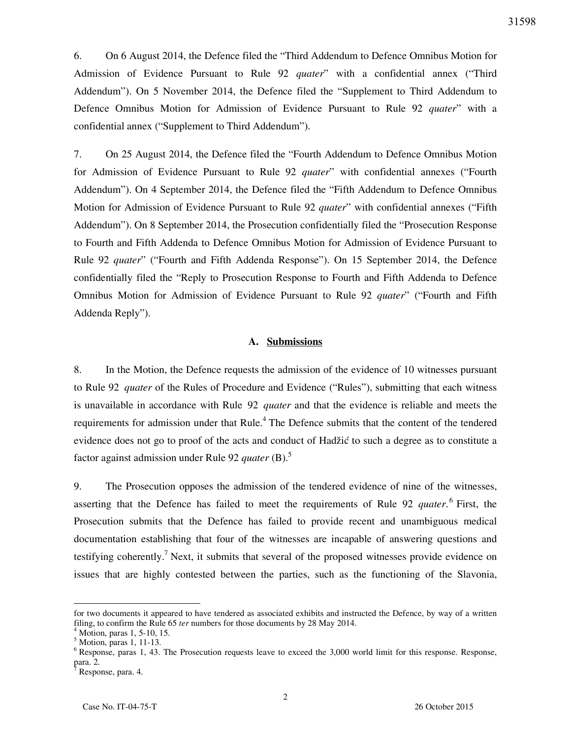6. On 6 August 2014, the Defence filed the "Third Addendum to Defence Omnibus Motion for Admission of Evidence Pursuant to Rule 92 *quater*" with a confidential annex ("Third Addendum"). On 5 November 2014, the Defence filed the "Supplement to Third Addendum to Defence Omnibus Motion for Admission of Evidence Pursuant to Rule 92 *quater*" with a confidential annex ("Supplement to Third Addendum").

7. On 25 August 2014, the Defence filed the "Fourth Addendum to Defence Omnibus Motion for Admission of Evidence Pursuant to Rule 92 *quater*" with confidential annexes ("Fourth Addendum"). On 4 September 2014, the Defence filed the "Fifth Addendum to Defence Omnibus Motion for Admission of Evidence Pursuant to Rule 92 *quater*" with confidential annexes ("Fifth Addendum"). On 8 September 2014, the Prosecution confidentially filed the "Prosecution Response to Fourth and Fifth Addenda to Defence Omnibus Motion for Admission of Evidence Pursuant to Rule 92 *quater*" ("Fourth and Fifth Addenda Response"). On 15 September 2014, the Defence confidentially filed the "Reply to Prosecution Response to Fourth and Fifth Addenda to Defence Omnibus Motion for Admission of Evidence Pursuant to Rule 92 *quater*" ("Fourth and Fifth Addenda Reply").

#### **A. Submissions**

8. In the Motion, the Defence requests the admission of the evidence of 10 witnesses pursuant to Rule 92 *quater* of the Rules of Procedure and Evidence ("Rules"), submitting that each witness is unavailable in accordance with Rule 92 *quater* and that the evidence is reliable and meets the requirements for admission under that Rule.<sup>4</sup> The Defence submits that the content of the tendered evidence does not go to proof of the acts and conduct of Hadžić to such a degree as to constitute a factor against admission under Rule 92 *quater* (B).<sup>5</sup>

9. The Prosecution opposes the admission of the tendered evidence of nine of the witnesses, asserting that the Defence has failed to meet the requirements of Rule 92 *quater*. 6 First, the Prosecution submits that the Defence has failed to provide recent and unambiguous medical documentation establishing that four of the witnesses are incapable of answering questions and testifying coherently.<sup>7</sup> Next, it submits that several of the proposed witnesses provide evidence on issues that are highly contested between the parties, such as the functioning of the Slavonia,

for two documents it appeared to have tendered as associated exhibits and instructed the Defence, by way of a written filing, to confirm the Rule 65 *ter* numbers for those documents by 28 May 2014.

<sup>4</sup> Motion, paras 1, 5-10, 15.

<sup>5</sup> Motion, paras 1, 11-13.

<sup>&</sup>lt;sup>6</sup> Response, paras 1, 43. The Prosecution requests leave to exceed the 3,000 world limit for this response. Response, para. 2. 7

Response, para. 4.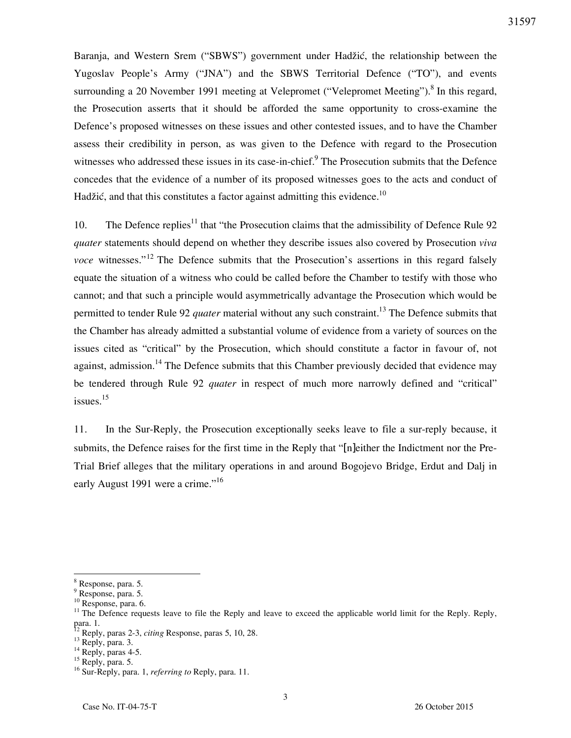Baranja, and Western Srem ("SBWS") government under Hadžić, the relationship between the Yugoslav People's Army ("JNA") and the SBWS Territorial Defence ("TO"), and events surrounding a 20 November 1991 meeting at Velepromet ("Velepromet Meeting").<sup>8</sup> In this regard, the Prosecution asserts that it should be afforded the same opportunity to cross-examine the Defence's proposed witnesses on these issues and other contested issues, and to have the Chamber assess their credibility in person, as was given to the Defence with regard to the Prosecution witnesses who addressed these issues in its case-in-chief.<sup>9</sup> The Prosecution submits that the Defence concedes that the evidence of a number of its proposed witnesses goes to the acts and conduct of Hadžić, and that this constitutes a factor against admitting this evidence.<sup>10</sup>

10. The Defence replies<sup>11</sup> that "the Prosecution claims that the admissibility of Defence Rule 92 *quater* statements should depend on whether they describe issues also covered by Prosecution *viva voce* witnesses."<sup>12</sup> The Defence submits that the Prosecution's assertions in this regard falsely equate the situation of a witness who could be called before the Chamber to testify with those who cannot; and that such a principle would asymmetrically advantage the Prosecution which would be permitted to tender Rule 92 *quater* material without any such constraint.<sup>13</sup> The Defence submits that the Chamber has already admitted a substantial volume of evidence from a variety of sources on the issues cited as "critical" by the Prosecution, which should constitute a factor in favour of, not against, admission.<sup>14</sup> The Defence submits that this Chamber previously decided that evidence may be tendered through Rule 92 *quater* in respect of much more narrowly defined and "critical" issues.<sup>15</sup>

11. In the Sur-Reply, the Prosecution exceptionally seeks leave to file a sur-reply because, it submits, the Defence raises for the first time in the Reply that "[n]either the Indictment nor the Pre-Trial Brief alleges that the military operations in and around Bogojevo Bridge, Erdut and Dalj in early August 1991 were a crime."<sup>16</sup>

<sup>&</sup>lt;sup>8</sup> Response, para. 5.

<sup>9</sup> Response, para. 5.

<sup>10</sup> Response, para. 6.

<sup>&</sup>lt;sup>11</sup> The Defence requests leave to file the Reply and leave to exceed the applicable world limit for the Reply. Reply, para. 1.

<sup>12</sup> Reply, paras 2-3, *citing* Response, paras 5, 10, 28.

 $^{13}$  Reply, para. 3.

 $^{14}$  Reply, paras 4-5.

<sup>&</sup>lt;sup>15</sup> Reply, para. 5.

<sup>16</sup> Sur-Reply, para. 1, *referring to* Reply, para. 11.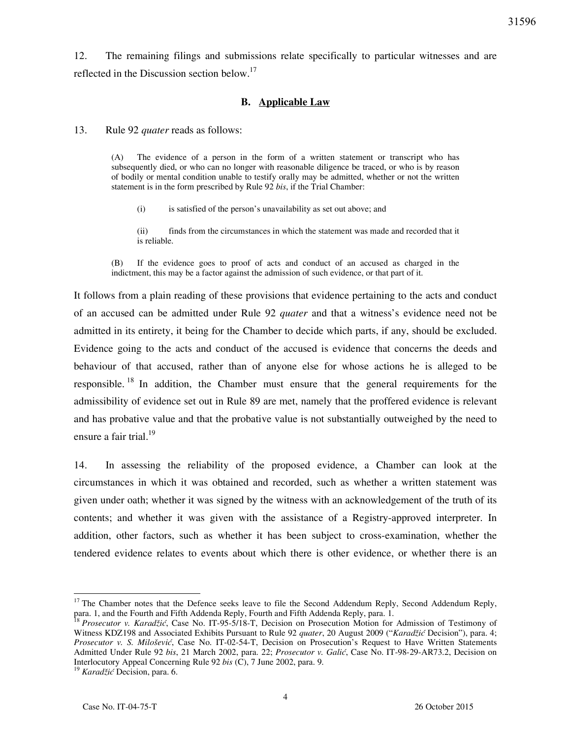12. The remaining filings and submissions relate specifically to particular witnesses and are reflected in the Discussion section below.<sup>17</sup>

## **B. Applicable Law**

13. Rule 92 *quater* reads as follows:

(A) The evidence of a person in the form of a written statement or transcript who has subsequently died, or who can no longer with reasonable diligence be traced, or who is by reason of bodily or mental condition unable to testify orally may be admitted, whether or not the written statement is in the form prescribed by Rule 92 *bis*, if the Trial Chamber:

(i) is satisfied of the person's unavailability as set out above; and

(ii) finds from the circumstances in which the statement was made and recorded that it is reliable.

(B) If the evidence goes to proof of acts and conduct of an accused as charged in the indictment, this may be a factor against the admission of such evidence, or that part of it.

It follows from a plain reading of these provisions that evidence pertaining to the acts and conduct of an accused can be admitted under Rule 92 *quater* and that a witness's evidence need not be admitted in its entirety, it being for the Chamber to decide which parts, if any, should be excluded. Evidence going to the acts and conduct of the accused is evidence that concerns the deeds and behaviour of that accused, rather than of anyone else for whose actions he is alleged to be responsible. <sup>18</sup> In addition, the Chamber must ensure that the general requirements for the admissibility of evidence set out in Rule 89 are met, namely that the proffered evidence is relevant and has probative value and that the probative value is not substantially outweighed by the need to ensure a fair trial. $^{19}$ 

14. In assessing the reliability of the proposed evidence, a Chamber can look at the circumstances in which it was obtained and recorded, such as whether a written statement was given under oath; whether it was signed by the witness with an acknowledgement of the truth of its contents; and whether it was given with the assistance of a Registry-approved interpreter. In addition, other factors, such as whether it has been subject to cross-examination, whether the tendered evidence relates to events about which there is other evidence, or whether there is an

<sup>&</sup>lt;sup>17</sup> The Chamber notes that the Defence seeks leave to file the Second Addendum Reply, Second Addendum Reply, para. 1, and the Fourth and Fifth Addenda Reply, Fourth and Fifth Addenda Reply, para. 1.

<sup>18</sup> *Prosecutor v. Karadžić*, Case No. IT-95-5/18-T, Decision on Prosecution Motion for Admission of Testimony of Witness KDZ198 and Associated Exhibits Pursuant to Rule 92 *quater*, 20 August 2009 ("*Karadžić* Decision"), para. 4; *Prosecutor v. S. Milošević*, Case No. IT-02-54-T, Decision on Prosecution's Request to Have Written Statements Admitted Under Rule 92 *bis*, 21 March 2002, para. 22; *Prosecutor v. Galić*, Case No. IT-98-29-AR73.2, Decision on Interlocutory Appeal Concerning Rule 92 *bis* (C), 7 June 2002, para. 9.

<sup>19</sup> *Karadžić* Decision, para. 6.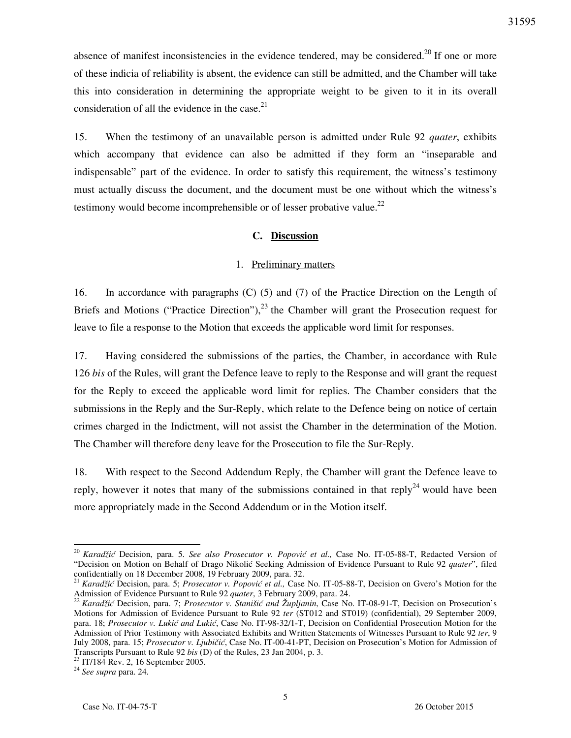absence of manifest inconsistencies in the evidence tendered, may be considered.<sup>20</sup> If one or more of these indicia of reliability is absent, the evidence can still be admitted, and the Chamber will take this into consideration in determining the appropriate weight to be given to it in its overall consideration of all the evidence in the case. $21$ 

15. When the testimony of an unavailable person is admitted under Rule 92 *quater*, exhibits which accompany that evidence can also be admitted if they form an "inseparable and indispensable" part of the evidence. In order to satisfy this requirement, the witness's testimony must actually discuss the document, and the document must be one without which the witness's testimony would become incomprehensible or of lesser probative value.<sup>22</sup>

### **C. Discussion**

#### 1. Preliminary matters

16. In accordance with paragraphs (C) (5) and (7) of the Practice Direction on the Length of Briefs and Motions ("Practice Direction"),  $^{23}$  the Chamber will grant the Prosecution request for leave to file a response to the Motion that exceeds the applicable word limit for responses.

17. Having considered the submissions of the parties, the Chamber, in accordance with Rule 126 *bis* of the Rules, will grant the Defence leave to reply to the Response and will grant the request for the Reply to exceed the applicable word limit for replies. The Chamber considers that the submissions in the Reply and the Sur-Reply, which relate to the Defence being on notice of certain crimes charged in the Indictment, will not assist the Chamber in the determination of the Motion. The Chamber will therefore deny leave for the Prosecution to file the Sur-Reply.

18. With respect to the Second Addendum Reply, the Chamber will grant the Defence leave to reply, however it notes that many of the submissions contained in that reply<sup>24</sup> would have been more appropriately made in the Second Addendum or in the Motion itself.

<sup>20</sup> *Karadžić* Decision, para. 5. *See also Prosecutor v. Popović et al.,* Case No. IT-05-88-T, Redacted Version of "Decision on Motion on Behalf of Drago Nikolić Seeking Admission of Evidence Pursuant to Rule 92 *quater*", filed confidentially on 18 December 2008, 19 February 2009, para. 32.

<sup>21</sup> *Karadžić* Decision, para. 5; *Prosecutor v. Popović et al.,* Case No. IT-05-88-T, Decision on Gvero's Motion for the Admission of Evidence Pursuant to Rule 92 *quater*, 3 February 2009, para. 24.

<sup>&</sup>lt;sup>22</sup> *Karadžić* Decision, para. 7; *Prosecutor v. Stanišić and Župljanin*, Case No. IT-08-91-T, Decision on Prosecution's Motions for Admission of Evidence Pursuant to Rule 92 *ter* (ST012 and ST019) (confidential), 29 September 2009, para. 18; Prosecutor v. Lukić and Lukić, Case No. IT-98-32/1-T, Decision on Confidential Prosecution Motion for the Admission of Prior Testimony with Associated Exhibits and Written Statements of Witnesses Pursuant to Rule 92 *ter*, 9 July 2008, para. 15; Prosecutor v. Ljubičić, Case No. IT-00-41-PT, Decision on Prosecution's Motion for Admission of Transcripts Pursuant to Rule 92 *bis* (D) of the Rules, 23 Jan 2004, p. 3.

 $^{23}$  IT/184 Rev. 2, 16 September 2005.

<sup>24</sup> *See supra* para. 24.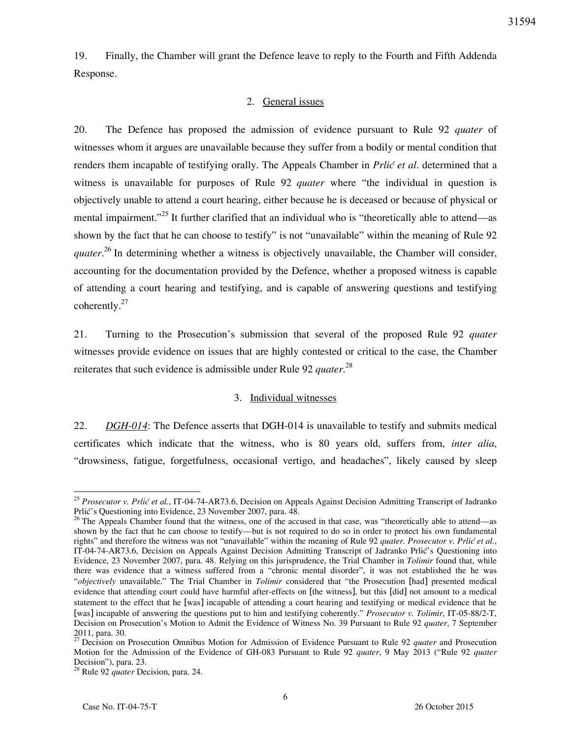19. Finally, the Chamber will grant the Defence leave to reply to the Fourth and Fifth Addenda Response.

#### 2. General issues

20. The Defence has proposed the admission of evidence pursuant to Rule 92 *quater* of witnesses whom it argues are unavailable because they suffer from a bodily or mental condition that renders them incapable of testifying orally. The Appeals Chamber in *Prlić et al*. determined that a witness is unavailable for purposes of Rule 92 *quater* where "the individual in question is objectively unable to attend a court hearing, either because he is deceased or because of physical or mental impairment."<sup>25</sup> It further clarified that an individual who is "theoretically able to attend—as shown by the fact that he can choose to testify" is not "unavailable" within the meaning of Rule 92 *quater*. <sup>26</sup> In determining whether a witness is objectively unavailable, the Chamber will consider, accounting for the documentation provided by the Defence, whether a proposed witness is capable of attending a court hearing and testifying, and is capable of answering questions and testifying coherently.<sup>27</sup>

21. Turning to the Prosecution's submission that several of the proposed Rule 92 *quater* witnesses provide evidence on issues that are highly contested or critical to the case, the Chamber reiterates that such evidence is admissible under Rule 92 *quater*. 28

#### 3. Individual witnesses

22. *DGH-014*: The Defence asserts that DGH-014 is unavailable to testify and submits medical certificates which indicate that the witness, who is 80 years old, suffers from, *inter alia*, "drowsiness, fatigue, forgetfulness, occasional vertigo, and headaches", likely caused by sleep

<sup>&</sup>lt;sup>25</sup> Prosecutor v. Prlić et al., IT-04-74-AR73.6, Decision on Appeals Against Decision Admitting Transcript of Jadranko Prlić's Questioning into Evidence, 23 November 2007, para. 48.

 $26$  The Appeals Chamber found that the witness, one of the accused in that case, was "theoretically able to attend—as shown by the fact that he can choose to testify—but is not required to do so in order to protect his own fundamental rights" and therefore the witness was not "unavailable" within the meaning of Rule 92 *quater. Prosecutor v. Prlić et al.*, IT-04-74-AR73.6, Decision on Appeals Against Decision Admitting Transcript of Jadranko Prlić's Questioning into Evidence, 23 November 2007, para. 48. Relying on this jurisprudence, the Trial Chamber in *Tolimir* found that, while there was evidence that a witness suffered from a "chronic mental disorder", it was not established the he was "*objectively* unavailable." The Trial Chamber in *Tolimir* considered that "the Prosecution [had] presented medical evidence that attending court could have harmful after-effects on [the witness], but this [did] not amount to a medical statement to the effect that he [was] incapable of attending a court hearing and testifying or medical evidence that he [was] incapable of answering the questions put to him and testifying coherently." *Prosecutor v. Tolimir,* IT-05-88/2-T, Decision on Prosecution's Motion to Admit the Evidence of Witness No. 39 Pursuant to Rule 92 *quater*, 7 September 2011, para. 30.

<sup>&</sup>lt;sup>27</sup> Decision on Prosecution Omnibus Motion for Admission of Evidence Pursuant to Rule 92 *quater* and Prosecution Motion for the Admission of the Evidence of GH-083 Pursuant to Rule 92 *quater*, 9 May 2013 ("Rule 92 *quater*  Decision"), para. 23.

<sup>28</sup> Rule 92 *quater* Decision, para. 24.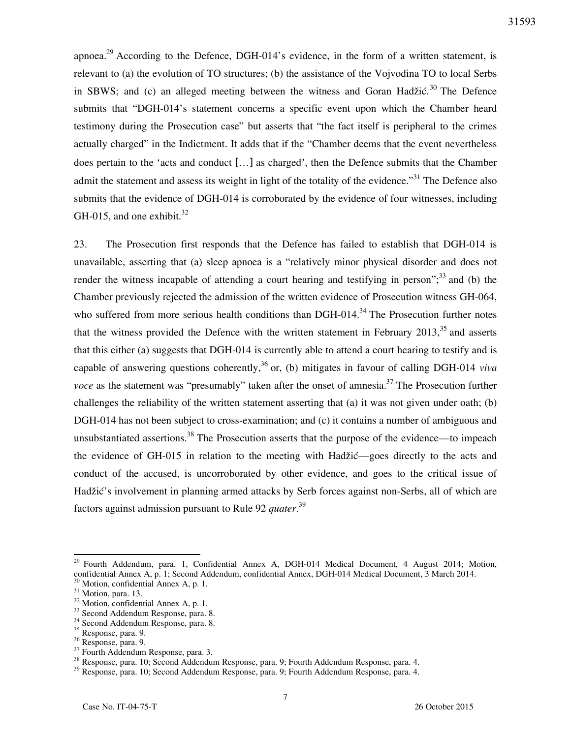apnoea.<sup>29</sup> According to the Defence, DGH-014's evidence, in the form of a written statement, is relevant to (a) the evolution of TO structures; (b) the assistance of the Vojvodina TO to local Serbs in SBWS; and (c) an alleged meeting between the witness and Goran Hadžić.<sup>30</sup> The Defence submits that "DGH-014's statement concerns a specific event upon which the Chamber heard testimony during the Prosecution case" but asserts that "the fact itself is peripheral to the crimes actually charged" in the Indictment. It adds that if the "Chamber deems that the event nevertheless does pertain to the 'acts and conduct […] as charged', then the Defence submits that the Chamber admit the statement and assess its weight in light of the totality of the evidence.<sup>331</sup> The Defence also submits that the evidence of DGH-014 is corroborated by the evidence of four witnesses, including GH-015, and one exhibit. $32$ 

23. The Prosecution first responds that the Defence has failed to establish that DGH-014 is unavailable, asserting that (a) sleep apnoea is a "relatively minor physical disorder and does not render the witness incapable of attending a court hearing and testifying in person";  $33$  and (b) the Chamber previously rejected the admission of the written evidence of Prosecution witness GH-064, who suffered from more serious health conditions than  $DGH-014<sup>34</sup>$ . The Prosecution further notes that the witness provided the Defence with the written statement in February  $2013$ ,<sup>35</sup> and asserts that this either (a) suggests that DGH-014 is currently able to attend a court hearing to testify and is capable of answering questions coherently,<sup>36</sup> or, (b) mitigates in favour of calling DGH-014 *viva voce* as the statement was "presumably" taken after the onset of amnesia.<sup>37</sup> The Prosecution further challenges the reliability of the written statement asserting that (a) it was not given under oath; (b) DGH-014 has not been subject to cross-examination; and (c) it contains a number of ambiguous and unsubstantiated assertions.<sup>38</sup> The Prosecution asserts that the purpose of the evidence—to impeach the evidence of GH-015 in relation to the meeting with Hadžić—goes directly to the acts and conduct of the accused, is uncorroborated by other evidence, and goes to the critical issue of Hadžić's involvement in planning armed attacks by Serb forces against non-Serbs, all of which are factors against admission pursuant to Rule 92 *quater*. 39

<sup>&</sup>lt;sup>29</sup> Fourth Addendum, para. 1, Confidential Annex A, DGH-014 Medical Document, 4 August 2014; Motion, confidential Annex A, p. 1; Second Addendum, confidential Annex, DGH-014 Medical Document, 3 March 2014.

 $30$  Motion, confidential Annex A, p. 1.

 $31$  Motion, para. 13.

 $32$  Motion, confidential Annex A, p. 1.

<sup>&</sup>lt;sup>33</sup> Second Addendum Response, para. 8.

<sup>34</sup> Second Addendum Response, para. 8.

<sup>35</sup> Response, para. 9.

<sup>36</sup> Response, para. 9.

<sup>&</sup>lt;sup>37</sup> Fourth Addendum Response, para. 3.

<sup>&</sup>lt;sup>38</sup> Response, para. 10; Second Addendum Response, para. 9; Fourth Addendum Response, para. 4.

<sup>39</sup> Response, para. 10; Second Addendum Response, para. 9; Fourth Addendum Response, para. 4.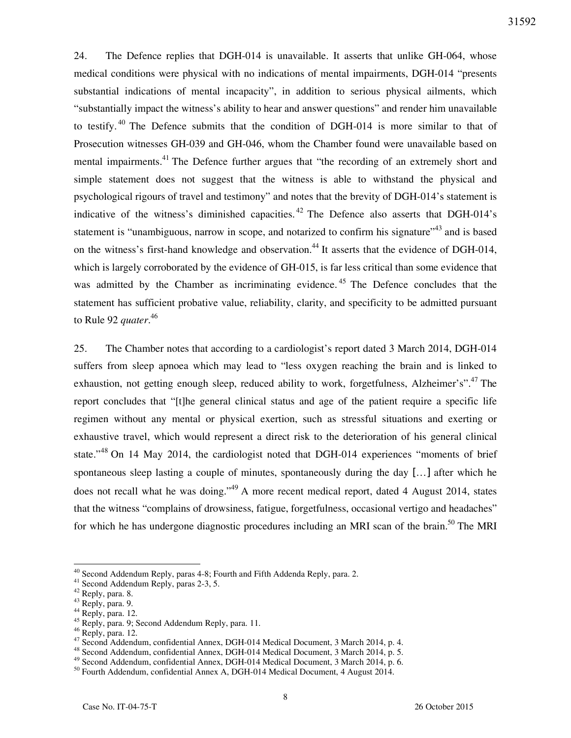24. The Defence replies that DGH-014 is unavailable. It asserts that unlike GH-064, whose medical conditions were physical with no indications of mental impairments, DGH-014 "presents substantial indications of mental incapacity", in addition to serious physical ailments, which "substantially impact the witness's ability to hear and answer questions" and render him unavailable to testify. <sup>40</sup> The Defence submits that the condition of DGH-014 is more similar to that of Prosecution witnesses GH-039 and GH-046, whom the Chamber found were unavailable based on mental impairments.<sup>41</sup> The Defence further argues that "the recording of an extremely short and simple statement does not suggest that the witness is able to withstand the physical and psychological rigours of travel and testimony" and notes that the brevity of DGH-014's statement is indicative of the witness's diminished capacities.<sup>42</sup> The Defence also asserts that DGH-014's statement is "unambiguous, narrow in scope, and notarized to confirm his signature"<sup>43</sup> and is based on the witness's first-hand knowledge and observation.<sup>44</sup> It asserts that the evidence of DGH-014, which is largely corroborated by the evidence of GH-015, is far less critical than some evidence that was admitted by the Chamber as incriminating evidence.<sup>45</sup> The Defence concludes that the statement has sufficient probative value, reliability, clarity, and specificity to be admitted pursuant to Rule 92 *quater*. 46

25. The Chamber notes that according to a cardiologist's report dated 3 March 2014, DGH-014 suffers from sleep apnoea which may lead to "less oxygen reaching the brain and is linked to exhaustion, not getting enough sleep, reduced ability to work, forgetfulness, Alzheimer's".<sup>47</sup> The report concludes that "[t]he general clinical status and age of the patient require a specific life regimen without any mental or physical exertion, such as stressful situations and exerting or exhaustive travel, which would represent a direct risk to the deterioration of his general clinical state."<sup>48</sup> On 14 May 2014, the cardiologist noted that DGH-014 experiences "moments of brief spontaneous sleep lasting a couple of minutes, spontaneously during the day […] after which he does not recall what he was doing."<sup>49</sup> A more recent medical report, dated 4 August 2014, states that the witness "complains of drowsiness, fatigue, forgetfulness, occasional vertigo and headaches" for which he has undergone diagnostic procedures including an MRI scan of the brain.<sup>50</sup> The MRI

<sup>&</sup>lt;sup>40</sup> Second Addendum Reply, paras 4-8; Fourth and Fifth Addenda Reply, para. 2.

<sup>41</sup> Second Addendum Reply, paras 2-3, 5.

 $42$  Reply, para. 8.

<sup>&</sup>lt;sup>43</sup> Reply, para. 9.

 $44$  Reply, para. 12.

 $^{45}$  Reply, para. 9; Second Addendum Reply, para. 11.

<sup>46</sup> Reply, para. 12.

<sup>47</sup> Second Addendum, confidential Annex, DGH-014 Medical Document, 3 March 2014, p. 4.

<sup>48</sup> Second Addendum, confidential Annex, DGH-014 Medical Document, 3 March 2014, p. 5.

<sup>49</sup> Second Addendum, confidential Annex, DGH-014 Medical Document, 3 March 2014, p. 6.

<sup>50</sup> Fourth Addendum, confidential Annex A, DGH-014 Medical Document, 4 August 2014.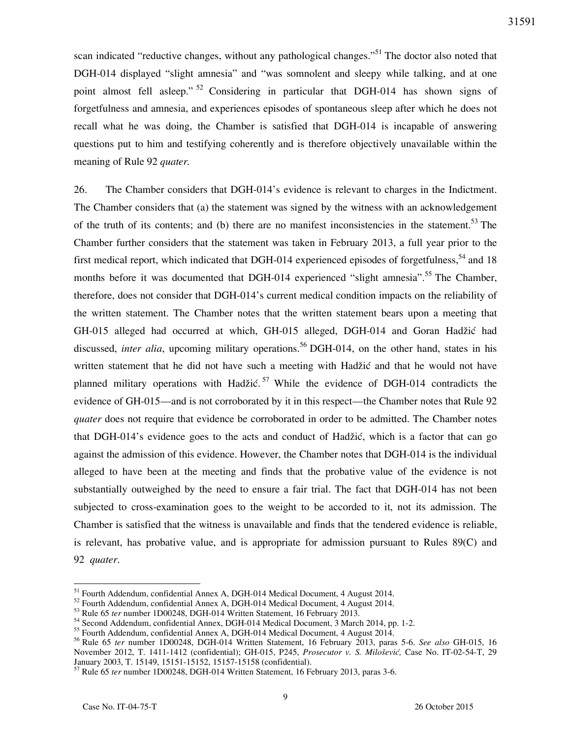scan indicated "reductive changes, without any pathological changes."<sup>51</sup> The doctor also noted that DGH-014 displayed "slight amnesia" and "was somnolent and sleepy while talking, and at one point almost fell asleep."<sup>52</sup> Considering in particular that DGH-014 has shown signs of forgetfulness and amnesia, and experiences episodes of spontaneous sleep after which he does not recall what he was doing, the Chamber is satisfied that DGH-014 is incapable of answering questions put to him and testifying coherently and is therefore objectively unavailable within the meaning of Rule 92 *quater.*

26. The Chamber considers that DGH-014's evidence is relevant to charges in the Indictment. The Chamber considers that (a) the statement was signed by the witness with an acknowledgement of the truth of its contents; and (b) there are no manifest inconsistencies in the statement.<sup>53</sup> The Chamber further considers that the statement was taken in February 2013, a full year prior to the first medical report, which indicated that DGH-014 experienced episodes of forgetfulness,  $54$  and 18 months before it was documented that DGH-014 experienced "slight amnesia".<sup>55</sup> The Chamber, therefore, does not consider that DGH-014's current medical condition impacts on the reliability of the written statement. The Chamber notes that the written statement bears upon a meeting that GH-015 alleged had occurred at which, GH-015 alleged, DGH-014 and Goran Hadžić had discussed, *inter alia*, upcoming military operations.<sup>56</sup> DGH-014, on the other hand, states in his written statement that he did not have such a meeting with Hadžić and that he would not have planned military operations with Hadžić.<sup>57</sup> While the evidence of DGH-014 contradicts the evidence of GH-015—and is not corroborated by it in this respect—the Chamber notes that Rule 92 *quater* does not require that evidence be corroborated in order to be admitted. The Chamber notes that DGH-014's evidence goes to the acts and conduct of Hadžić, which is a factor that can go against the admission of this evidence. However, the Chamber notes that DGH-014 is the individual alleged to have been at the meeting and finds that the probative value of the evidence is not substantially outweighed by the need to ensure a fair trial. The fact that DGH-014 has not been subjected to cross-examination goes to the weight to be accorded to it, not its admission. The Chamber is satisfied that the witness is unavailable and finds that the tendered evidence is reliable, is relevant, has probative value, and is appropriate for admission pursuant to Rules 89(C) and 92 *quater*.

<sup>&</sup>lt;sup>51</sup> Fourth Addendum, confidential Annex A, DGH-014 Medical Document, 4 August 2014.

<sup>52</sup> Fourth Addendum, confidential Annex A, DGH-014 Medical Document, 4 August 2014.

<sup>&</sup>lt;sup>53</sup> Rule 65 *ter* number 1D00248, DGH-014 Written Statement, 16 February 2013.

<sup>54</sup> Second Addendum, confidential Annex, DGH-014 Medical Document, 3 March 2014, pp. 1-2.

<sup>55</sup> Fourth Addendum, confidential Annex A, DGH-014 Medical Document, 4 August 2014.

<sup>56</sup> Rule 65 *ter* number 1D00248, DGH-014 Written Statement, 16 February 2013, paras 5-6. *See also* GH-015, 16 November 2012, T. 1411-1412 (confidential); GH-015, P245, *Prosecutor v. S. Milo{evi},* Case No. IT-02-54-T, 29 January 2003, T. 15149, 15151-15152, 15157-15158 (confidential).

<sup>&</sup>lt;sup>57</sup> Rule 65 *ter* number 1D00248, DGH-014 Written Statement, 16 February 2013, paras 3-6.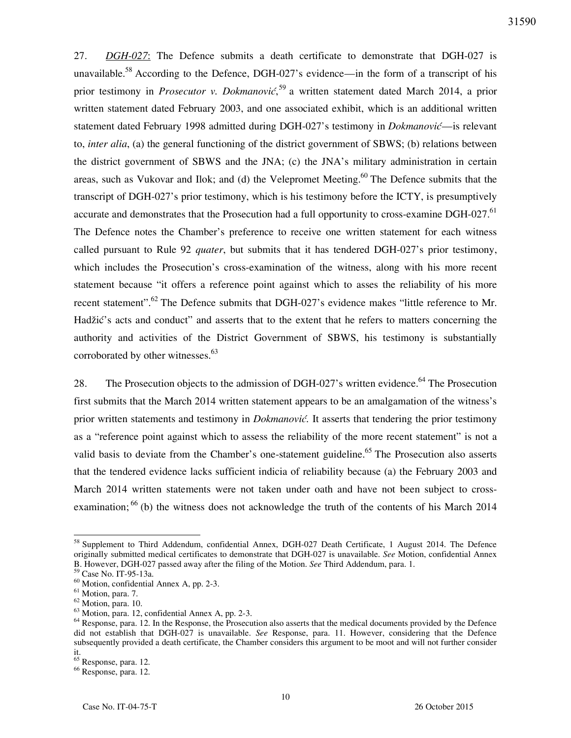27. *DGH-027*: The Defence submits a death certificate to demonstrate that DGH-027 is unavailable.<sup>58</sup> According to the Defence, DGH-027's evidence—in the form of a transcript of his prior testimony in *Prosecutor v. Dokmanović*,<sup>59</sup> a written statement dated March 2014, a prior written statement dated February 2003, and one associated exhibit, which is an additional written statement dated February 1998 admitted during DGH-027's testimony in *Dokmanović*—is relevant to, *inter alia*, (a) the general functioning of the district government of SBWS; (b) relations between the district government of SBWS and the JNA; (c) the JNA's military administration in certain areas, such as Vukovar and Ilok; and (d) the Velepromet Meeting.<sup>60</sup> The Defence submits that the transcript of DGH-027's prior testimony, which is his testimony before the ICTY, is presumptively accurate and demonstrates that the Prosecution had a full opportunity to cross-examine DGH-027.<sup>61</sup> The Defence notes the Chamber's preference to receive one written statement for each witness called pursuant to Rule 92 *quater*, but submits that it has tendered DGH-027's prior testimony, which includes the Prosecution's cross-examination of the witness, along with his more recent statement because "it offers a reference point against which to asses the reliability of his more recent statement".<sup>62</sup> The Defence submits that DGH-027's evidence makes "little reference to Mr. Hadžić's acts and conduct" and asserts that to the extent that he refers to matters concerning the authority and activities of the District Government of SBWS, his testimony is substantially corroborated by other witnesses. $63$ 

28. The Prosecution objects to the admission of DGH-027's written evidence.<sup>64</sup> The Prosecution first submits that the March 2014 written statement appears to be an amalgamation of the witness's prior written statements and testimony in *Dokmanović*. It asserts that tendering the prior testimony as a "reference point against which to assess the reliability of the more recent statement" is not a valid basis to deviate from the Chamber's one-statement guideline.<sup>65</sup> The Prosecution also asserts that the tendered evidence lacks sufficient indicia of reliability because (a) the February 2003 and March 2014 written statements were not taken under oath and have not been subject to crossexamination;<sup>66</sup> (b) the witness does not acknowledge the truth of the contents of his March 2014

<sup>&</sup>lt;sup>58</sup> Supplement to Third Addendum, confidential Annex, DGH-027 Death Certificate, 1 August 2014. The Defence originally submitted medical certificates to demonstrate that DGH-027 is unavailable. *See* Motion, confidential Annex B. However, DGH-027 passed away after the filing of the Motion. *See* Third Addendum, para. 1.

<sup>59</sup> Case No. IT-95-13a.

<sup>60</sup> Motion, confidential Annex A, pp. 2-3.

<sup>&</sup>lt;sup>61</sup> Motion, para. 7.

<sup>62</sup> Motion, para. 10.

 $63$  Motion, para. 12, confidential Annex A, pp. 2-3.

<sup>&</sup>lt;sup>64</sup> Response, para. 12. In the Response, the Prosecution also asserts that the medical documents provided by the Defence did not establish that DGH-027 is unavailable. *See* Response, para. 11. However, considering that the Defence subsequently provided a death certificate, the Chamber considers this argument to be moot and will not further consider it.

<sup>&</sup>lt;sup>65</sup> Response, para. 12. <sup>66</sup> Response, para. 12.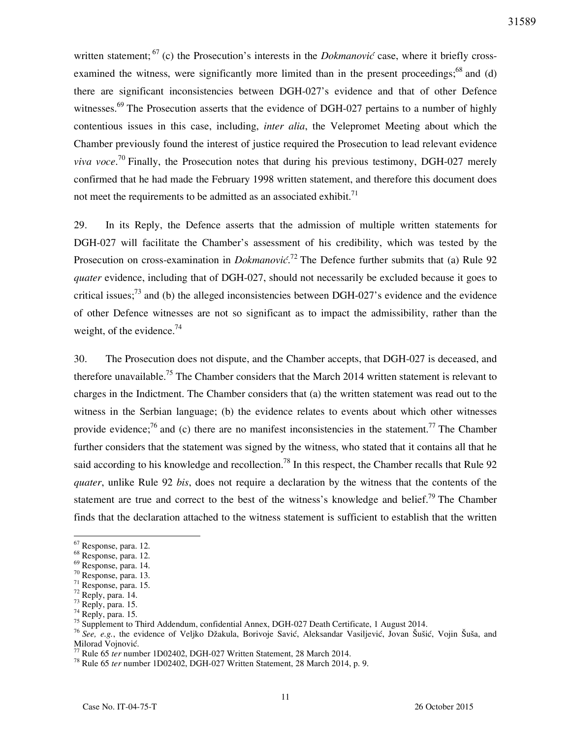written statement;<sup>67</sup> (c) the Prosecution's interests in the *Dokmanović* case, where it briefly crossexamined the witness, were significantly more limited than in the present proceedings;<sup>68</sup> and (d) there are significant inconsistencies between DGH-027's evidence and that of other Defence witnesses.<sup>69</sup> The Prosecution asserts that the evidence of DGH-027 pertains to a number of highly contentious issues in this case, including, *inter alia*, the Velepromet Meeting about which the Chamber previously found the interest of justice required the Prosecution to lead relevant evidence *viva voce*. <sup>70</sup> Finally, the Prosecution notes that during his previous testimony, DGH-027 merely confirmed that he had made the February 1998 written statement, and therefore this document does not meet the requirements to be admitted as an associated exhibit.<sup>71</sup>

29. In its Reply, the Defence asserts that the admission of multiple written statements for DGH-027 will facilitate the Chamber's assessment of his credibility, which was tested by the Prosecution on cross-examination in *Dokmanović*.<sup>72</sup> The Defence further submits that (a) Rule 92 *quater* evidence, including that of DGH-027, should not necessarily be excluded because it goes to critical issues;<sup>73</sup> and (b) the alleged inconsistencies between DGH-027's evidence and the evidence of other Defence witnesses are not so significant as to impact the admissibility, rather than the weight, of the evidence.<sup>74</sup>

30. The Prosecution does not dispute, and the Chamber accepts, that DGH-027 is deceased, and therefore unavailable.<sup>75</sup> The Chamber considers that the March 2014 written statement is relevant to charges in the Indictment. The Chamber considers that (a) the written statement was read out to the witness in the Serbian language; (b) the evidence relates to events about which other witnesses provide evidence;<sup>76</sup> and (c) there are no manifest inconsistencies in the statement.<sup>77</sup> The Chamber further considers that the statement was signed by the witness, who stated that it contains all that he said according to his knowledge and recollection.<sup>78</sup> In this respect, the Chamber recalls that Rule 92 *quater*, unlike Rule 92 *bis*, does not require a declaration by the witness that the contents of the statement are true and correct to the best of the witness's knowledge and belief.<sup>79</sup> The Chamber finds that the declaration attached to the witness statement is sufficient to establish that the written

<sup>&</sup>lt;sup>67</sup> Response, para. 12.

<sup>68</sup> Response, para. 12.

<sup>69</sup> Response, para. 14.

<sup>70</sup> Response, para. 13.

<sup>71</sup> Response, para. 15.

<sup>72</sup> Reply, para. 14.

 $73$  Reply, para. 15.

 $74$  Reply, para. 15.

<sup>&</sup>lt;sup>75</sup> Supplement to Third Addendum, confidential Annex, DGH-027 Death Certificate, 1 August 2014.

<sup>&</sup>lt;sup>76</sup> See, e.g., the evidence of Veljko Džakula, Borivoje Savić, Aleksandar Vasiljević, Jovan Šušić, Vojin Šuša, and Milorad Vojnović.

<sup>77</sup> Rule 65 *ter* number 1D02402, DGH-027 Written Statement, 28 March 2014.

<sup>78</sup> Rule 65 *ter* number 1D02402, DGH-027 Written Statement, 28 March 2014, p. 9.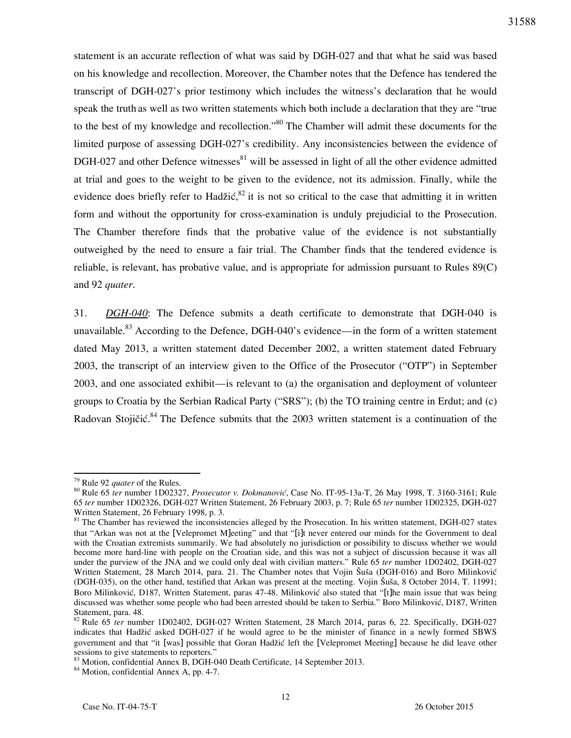statement is an accurate reflection of what was said by DGH-027 and that what he said was based on his knowledge and recollection. Moreover, the Chamber notes that the Defence has tendered the transcript of DGH-027's prior testimony which includes the witness's declaration that he would speak the truth as well as two written statements which both include a declaration that they are "true to the best of my knowledge and recollection."<sup>80</sup> The Chamber will admit these documents for the limited purpose of assessing DGH-027's credibility. Any inconsistencies between the evidence of DGH-027 and other Defence witnesses<sup>81</sup> will be assessed in light of all the other evidence admitted at trial and goes to the weight to be given to the evidence, not its admission. Finally, while the evidence does briefly refer to Hadžić,  $82$  it is not so critical to the case that admitting it in written form and without the opportunity for cross-examination is unduly prejudicial to the Prosecution. The Chamber therefore finds that the probative value of the evidence is not substantially outweighed by the need to ensure a fair trial. The Chamber finds that the tendered evidence is reliable, is relevant, has probative value, and is appropriate for admission pursuant to Rules 89(C) and 92 *quater*.

31. *DGH-040*: The Defence submits a death certificate to demonstrate that DGH-040 is unavailable.<sup>83</sup> According to the Defence, DGH-040's evidence—in the form of a written statement dated May 2013, a written statement dated December 2002, a written statement dated February 2003, the transcript of an interview given to the Office of the Prosecutor ("OTP") in September 2003, and one associated exhibit—is relevant to (a) the organisation and deployment of volunteer groups to Croatia by the Serbian Radical Party ("SRS"); (b) the TO training centre in Erdut; and (c) Radovan Stojičić.<sup>84</sup> The Defence submits that the 2003 written statement is a continuation of the

<sup>79</sup> Rule 92 *quater* of the Rules.

<sup>80</sup> Rule 65 *ter* number 1D02327, *Prosecutor v. Dokmanović*, Case No. IT-95-13a-T, 26 May 1998, T. 3160-3161; Rule 65 *ter* number 1D02326, DGH-027 Written Statement, 26 February 2003, p. 7; Rule 65 *ter* number 1D02325, DGH-027 Written Statement, 26 February 1998, p. 3.

 $81$  The Chamber has reviewed the inconsistencies alleged by the Prosecution. In his written statement, DGH-027 states that "Arkan was not at the [Velepromet M]eeting" and that "[i]t never entered our minds for the Government to deal with the Croatian extremists summarily. We had absolutely no jurisdiction or possibility to discuss whether we would become more hard-line with people on the Croatian side, and this was not a subject of discussion because it was all under the purview of the JNA and we could only deal with civilian matters." Rule 65 *ter* number 1D02402, DGH-027 Written Statement, 28 March 2014, para. 21. The Chamber notes that Vojin Šuša (DGH-016) and Boro Milinković (DGH-035), on the other hand, testified that Arkan was present at the meeting. Vojin Šuša, 8 October 2014, T. 11991; Boro Milinković, D187, Written Statement, paras 47-48. Milinković also stated that "[t]he main issue that was being discussed was whether some people who had been arrested should be taken to Serbia." Boro Milinković, D187, Written Statement, para. 48.

<sup>82</sup> Rule 65 *ter* number 1D02402, DGH-027 Written Statement, 28 March 2014, paras 6, 22. Specifically, DGH-027 indicates that Hadžić asked DGH-027 if he would agree to be the minister of finance in a newly formed SBWS government and that "it [was] possible that Goran Hadžić left the [Velepromet Meeting] because he did leave other sessions to give statements to reporters."

<sup>83</sup> Motion, confidential Annex B, DGH-040 Death Certificate, 14 September 2013.

<sup>84</sup> Motion, confidential Annex A, pp. 4-7.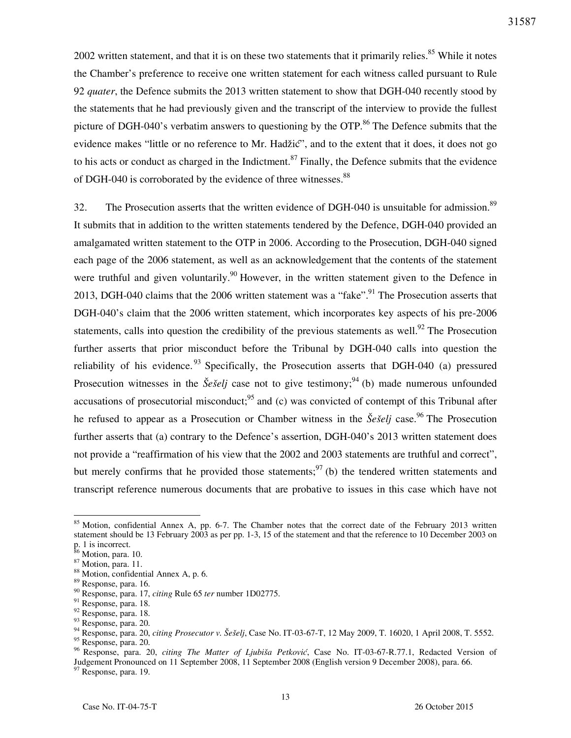2002 written statement, and that it is on these two statements that it primarily relies.<sup>85</sup> While it notes the Chamber's preference to receive one written statement for each witness called pursuant to Rule 92 *quater*, the Defence submits the 2013 written statement to show that DGH-040 recently stood by the statements that he had previously given and the transcript of the interview to provide the fullest picture of DGH-040's verbatim answers to questioning by the OTP.<sup>86</sup> The Defence submits that the evidence makes "little or no reference to Mr. Hadžić", and to the extent that it does, it does not go to his acts or conduct as charged in the Indictment.<sup>87</sup> Finally, the Defence submits that the evidence of DGH-040 is corroborated by the evidence of three witnesses.<sup>88</sup>

32. The Prosecution asserts that the written evidence of DGH-040 is unsuitable for admission.<sup>89</sup> It submits that in addition to the written statements tendered by the Defence, DGH-040 provided an amalgamated written statement to the OTP in 2006. According to the Prosecution, DGH-040 signed each page of the 2006 statement, as well as an acknowledgement that the contents of the statement were truthful and given voluntarily.<sup>90</sup> However, in the written statement given to the Defence in 2013, DGH-040 claims that the 2006 written statement was a "fake".<sup>91</sup> The Prosecution asserts that DGH-040's claim that the 2006 written statement, which incorporates key aspects of his pre-2006 statements, calls into question the credibility of the previous statements as well.<sup>92</sup> The Prosecution further asserts that prior misconduct before the Tribunal by DGH-040 calls into question the reliability of his evidence.<sup>93</sup> Specifically, the Prosecution asserts that DGH-040 (a) pressured Prosecution witnesses in the *Šešelj* case not to give testimony;<sup>94</sup> (b) made numerous unfounded accusations of prosecutorial misconduct:  $95$  and (c) was convicted of contempt of this Tribunal after he refused to appear as a Prosecution or Chamber witness in the *Šešelj* case.<sup>96</sup> The Prosecution further asserts that (a) contrary to the Defence's assertion, DGH-040's 2013 written statement does not provide a "reaffirmation of his view that the 2002 and 2003 statements are truthful and correct", but merely confirms that he provided those statements;  $97$  (b) the tendered written statements and transcript reference numerous documents that are probative to issues in this case which have not

 $\overline{a}$ 

97 Response, para. 19.

<sup>&</sup>lt;sup>85</sup> Motion, confidential Annex A, pp. 6-7. The Chamber notes that the correct date of the February 2013 written statement should be 13 February 2003 as per pp. 1-3, 15 of the statement and that the reference to 10 December 2003 on

p. 1 is incorrect.

<sup>&</sup>lt;sup>86</sup> Motion, para. 10. <sup>87</sup> Motion, para. 11.

<sup>88</sup> Motion, confidential Annex A, p. 6.

<sup>89</sup> Response, para. 16.

<sup>90</sup> Response, para. 17, *citing* Rule 65 *ter* number 1D02775.

<sup>&</sup>lt;sup>91</sup> Response, para. 18.

<sup>92</sup> Response, para. 18.

<sup>93</sup> Response, para. 20.

<sup>94</sup> Response, para. 20, *citing Prosecutor v. Šešelj*, Case No. IT-03-67-T, 12 May 2009, T. 16020, 1 April 2008, T. 5552. <sup>95</sup> Response, para. 20.

<sup>96</sup> Response, para. 20, *citing The Matter of Ljubiša Petković*, Case No. IT-03-67-R.77.1, Redacted Version of Judgement Pronounced on 11 September 2008, 11 September 2008 (English version 9 December 2008), para. 66.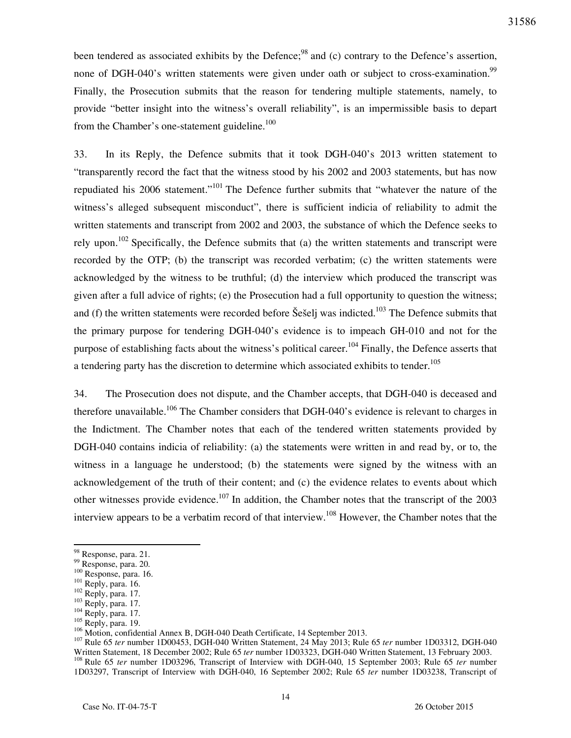been tendered as associated exhibits by the Defence;<sup>98</sup> and (c) contrary to the Defence's assertion, none of DGH-040's written statements were given under oath or subject to cross-examination.<sup>99</sup> Finally, the Prosecution submits that the reason for tendering multiple statements, namely, to provide "better insight into the witness's overall reliability", is an impermissible basis to depart from the Chamber's one-statement guideline.<sup>100</sup>

33. In its Reply, the Defence submits that it took DGH-040's 2013 written statement to "transparently record the fact that the witness stood by his 2002 and 2003 statements, but has now repudiated his 2006 statement."<sup>101</sup> The Defence further submits that "whatever the nature of the witness's alleged subsequent misconduct", there is sufficient indicia of reliability to admit the written statements and transcript from 2002 and 2003, the substance of which the Defence seeks to rely upon.<sup>102</sup> Specifically, the Defence submits that (a) the written statements and transcript were recorded by the OTP; (b) the transcript was recorded verbatim; (c) the written statements were acknowledged by the witness to be truthful; (d) the interview which produced the transcript was given after a full advice of rights; (e) the Prosecution had a full opportunity to question the witness; and (f) the written statements were recorded before Seselj was indicted.<sup>103</sup> The Defence submits that the primary purpose for tendering DGH-040's evidence is to impeach GH-010 and not for the purpose of establishing facts about the witness's political career.<sup>104</sup> Finally, the Defence asserts that a tendering party has the discretion to determine which associated exhibits to tender.<sup>105</sup>

34. The Prosecution does not dispute, and the Chamber accepts, that DGH-040 is deceased and therefore unavailable.<sup>106</sup> The Chamber considers that DGH-040's evidence is relevant to charges in the Indictment. The Chamber notes that each of the tendered written statements provided by DGH-040 contains indicia of reliability: (a) the statements were written in and read by, or to, the witness in a language he understood; (b) the statements were signed by the witness with an acknowledgement of the truth of their content; and (c) the evidence relates to events about which other witnesses provide evidence.<sup>107</sup> In addition, the Chamber notes that the transcript of the 2003 interview appears to be a verbatim record of that interview.<sup>108</sup> However, the Chamber notes that the

<sup>&</sup>lt;sup>98</sup> Response, para. 21.

<sup>99</sup> Response, para. 20.

<sup>100</sup> Response, para. 16.

<sup>101</sup> Reply, para. 16.

 $^{102}$  Reply, para. 17.

 $103$  Reply, para. 17.

 $104$  Reply, para. 17.

<sup>105</sup> Reply, para. 19.

<sup>&</sup>lt;sup>106</sup> Motion, confidential Annex B, DGH-040 Death Certificate, 14 September 2013.

<sup>107</sup> Rule 65 *ter* number 1D00453, DGH-040 Written Statement, 24 May 2013; Rule 65 *ter* number 1D03312, DGH-040 Written Statement, 18 December 2002; Rule 65 *ter* number 1D03323, DGH-040 Written Statement, 13 February 2003. <sup>108</sup> Rule 65 *ter* number 1D03296, Transcript of Interview with DGH-040, 15 September 2003; Rule 65 *ter* number

<sup>1</sup>D03297, Transcript of Interview with DGH-040, 16 September 2002; Rule 65 *ter* number 1D03238, Transcript of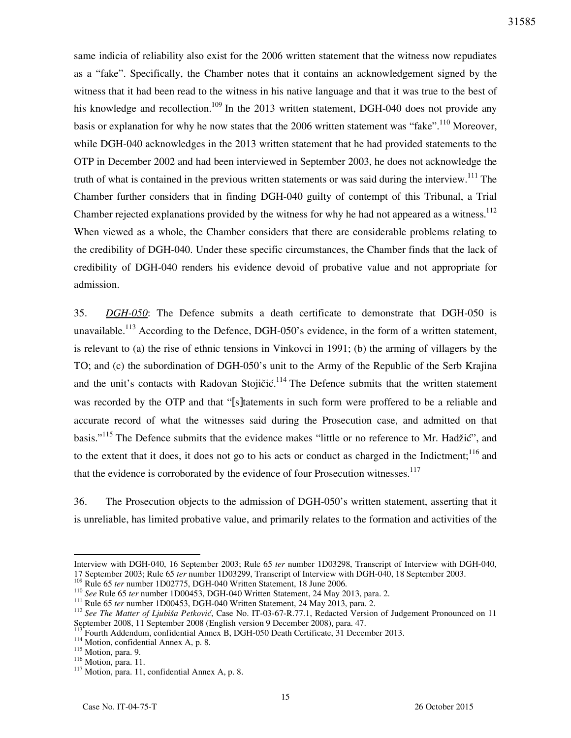same indicia of reliability also exist for the 2006 written statement that the witness now repudiates as a "fake". Specifically, the Chamber notes that it contains an acknowledgement signed by the witness that it had been read to the witness in his native language and that it was true to the best of his knowledge and recollection.<sup>109</sup> In the 2013 written statement, DGH-040 does not provide any basis or explanation for why he now states that the 2006 written statement was "fake".<sup>110</sup> Moreover, while DGH-040 acknowledges in the 2013 written statement that he had provided statements to the OTP in December 2002 and had been interviewed in September 2003, he does not acknowledge the truth of what is contained in the previous written statements or was said during the interview.<sup>111</sup> The Chamber further considers that in finding DGH-040 guilty of contempt of this Tribunal, a Trial Chamber rejected explanations provided by the witness for why he had not appeared as a witness.<sup>112</sup> When viewed as a whole, the Chamber considers that there are considerable problems relating to the credibility of DGH-040. Under these specific circumstances, the Chamber finds that the lack of credibility of DGH-040 renders his evidence devoid of probative value and not appropriate for admission.

35. *DGH-050*: The Defence submits a death certificate to demonstrate that DGH-050 is unavailable.<sup>113</sup> According to the Defence, DGH-050's evidence, in the form of a written statement, is relevant to (a) the rise of ethnic tensions in Vinkovci in 1991; (b) the arming of villagers by the TO; and (c) the subordination of DGH-050's unit to the Army of the Republic of the Serb Krajina and the unit's contacts with Radovan Stojičić.<sup>114</sup> The Defence submits that the written statement was recorded by the OTP and that "[s]tatements in such form were proffered to be a reliable and accurate record of what the witnesses said during the Prosecution case, and admitted on that basis."<sup>115</sup> The Defence submits that the evidence makes "little or no reference to Mr. Hadžić", and to the extent that it does, it does not go to his acts or conduct as charged in the Indictment;<sup>116</sup> and that the evidence is corroborated by the evidence of four Prosecution witnesses. $117$ 

36. The Prosecution objects to the admission of DGH-050's written statement, asserting that it is unreliable, has limited probative value, and primarily relates to the formation and activities of the

Interview with DGH-040, 16 September 2003; Rule 65 *ter* number 1D03298, Transcript of Interview with DGH-040, 17 September 2003; Rule 65 *ter* number 1D03299, Transcript of Interview with DGH-040, 18 September 2003.

<sup>&</sup>lt;sup>109</sup> Rule 65 *ter* number 1D02775, DGH-040 Written Statement, 18 June 2006.

<sup>110</sup> *See* Rule 65 *ter* number 1D00453, DGH-040 Written Statement, 24 May 2013, para. 2.

<sup>&</sup>lt;sup>111</sup> Rule 65 *ter* number 1D00453, DGH-040 Written Statement, 24 May 2013, para. 2.

<sup>112</sup> *See The Matter of Ljubiša Petković*, Case No. IT-03-67-R.77.1, Redacted Version of Judgement Pronounced on 11 September 2008, 11 September 2008 (English version 9 December 2008), para. 47.

Fourth Addendum, confidential Annex B, DGH-050 Death Certificate, 31 December 2013.

<sup>114</sup> Motion, confidential Annex A, p. 8.

<sup>&</sup>lt;sup>115</sup> Motion, para. 9.

<sup>116</sup> Motion, para. 11.

 $117$  Motion, para. 11, confidential Annex A, p. 8.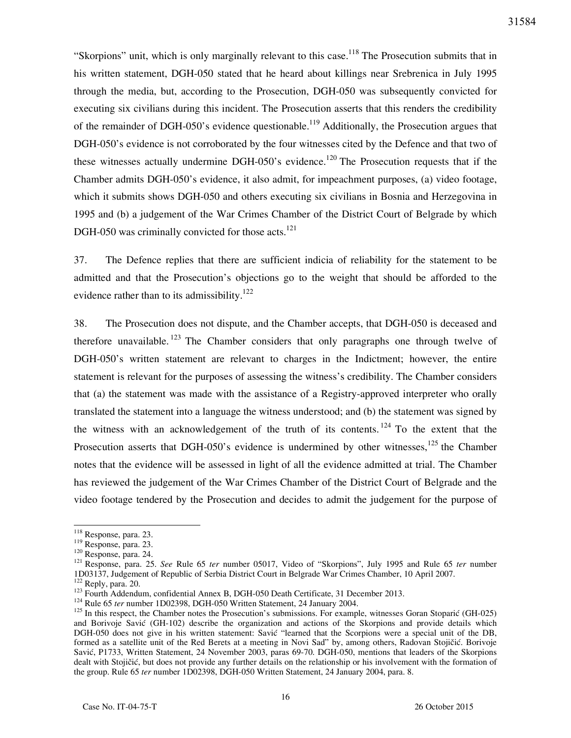"Skorpions" unit, which is only marginally relevant to this case.<sup>118</sup> The Prosecution submits that in his written statement, DGH-050 stated that he heard about killings near Srebrenica in July 1995 through the media, but, according to the Prosecution, DGH-050 was subsequently convicted for executing six civilians during this incident. The Prosecution asserts that this renders the credibility of the remainder of DGH-050's evidence questionable.<sup>119</sup> Additionally, the Prosecution argues that DGH-050's evidence is not corroborated by the four witnesses cited by the Defence and that two of these witnesses actually undermine DGH-050's evidence.<sup>120</sup> The Prosecution requests that if the Chamber admits DGH-050's evidence, it also admit, for impeachment purposes, (a) video footage, which it submits shows DGH-050 and others executing six civilians in Bosnia and Herzegovina in 1995 and (b) a judgement of the War Crimes Chamber of the District Court of Belgrade by which DGH-050 was criminally convicted for those acts. $121$ 

37. The Defence replies that there are sufficient indicia of reliability for the statement to be admitted and that the Prosecution's objections go to the weight that should be afforded to the evidence rather than to its admissibility.<sup>122</sup>

38. The Prosecution does not dispute, and the Chamber accepts, that DGH-050 is deceased and therefore unavailable. <sup>123</sup> The Chamber considers that only paragraphs one through twelve of DGH-050's written statement are relevant to charges in the Indictment; however, the entire statement is relevant for the purposes of assessing the witness's credibility. The Chamber considers that (a) the statement was made with the assistance of a Registry-approved interpreter who orally translated the statement into a language the witness understood; and (b) the statement was signed by the witness with an acknowledgement of the truth of its contents.  $124$  To the extent that the Prosecution asserts that DGH-050's evidence is undermined by other witnesses,  $^{125}$  the Chamber notes that the evidence will be assessed in light of all the evidence admitted at trial. The Chamber has reviewed the judgement of the War Crimes Chamber of the District Court of Belgrade and the video footage tendered by the Prosecution and decides to admit the judgement for the purpose of

<sup>&</sup>lt;sup>118</sup> Response, para. 23.

<sup>119</sup> Response, para. 23.

<sup>120</sup> Response, para. 24.

<sup>121</sup> Response, para. 25. *See* Rule 65 *ter* number 05017, Video of "Skorpions", July 1995 and Rule 65 *ter* number 1D03137, Judgement of Republic of Serbia District Court in Belgrade War Crimes Chamber, 10 April 2007.

<sup>122</sup> Reply, para. 20.

<sup>&</sup>lt;sup>123</sup> Fourth Addendum, confidential Annex B, DGH-050 Death Certificate, 31 December 2013.

<sup>&</sup>lt;sup>124</sup> Rule 65 *ter* number 1D02398, DGH-050 Written Statement, 24 January 2004.

<sup>&</sup>lt;sup>125</sup> In this respect, the Chamber notes the Prosecution's submissions. For example, witnesses Goran Stoparić (GH-025) and Borivoje Savić (GH-102) describe the organization and actions of the Skorpions and provide details which DGH-050 does not give in his written statement: Savić "learned that the Scorpions were a special unit of the DB, formed as a satellite unit of the Red Berets at a meeting in Novi Sad" by, among others, Radovan Stojičić. Borivoje Savić, P1733, Written Statement, 24 November 2003, paras 69-70. DGH-050, mentions that leaders of the Skorpions dealt with Stojičić, but does not provide any further details on the relationship or his involvement with the formation of the group. Rule 65 *ter* number 1D02398, DGH-050 Written Statement, 24 January 2004, para. 8.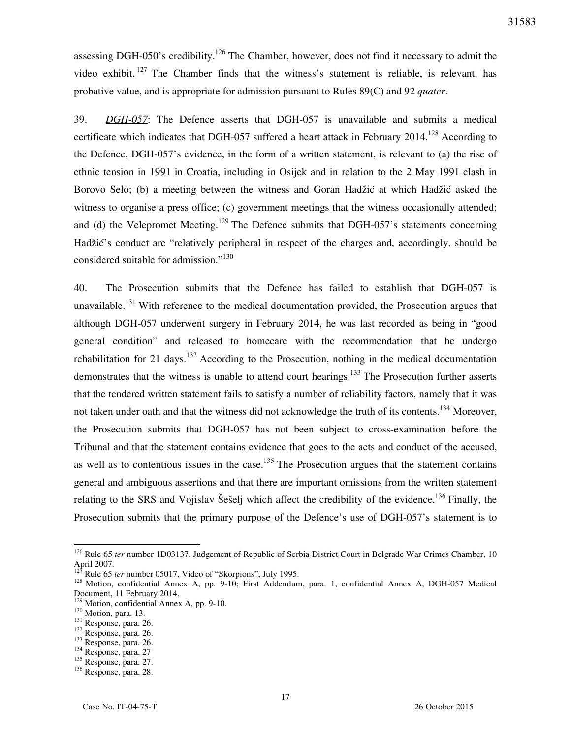assessing DGH-050's credibility.<sup>126</sup> The Chamber, however, does not find it necessary to admit the video exhibit. <sup>127</sup> The Chamber finds that the witness's statement is reliable, is relevant, has probative value, and is appropriate for admission pursuant to Rules 89(C) and 92 *quater*.

39. *DGH-057*: The Defence asserts that DGH-057 is unavailable and submits a medical certificate which indicates that DGH-057 suffered a heart attack in February  $2014$ <sup>128</sup> According to the Defence, DGH-057's evidence, in the form of a written statement, is relevant to (a) the rise of ethnic tension in 1991 in Croatia, including in Osijek and in relation to the 2 May 1991 clash in Borovo Selo; (b) a meeting between the witness and Goran Hadžić at which Hadžić asked the witness to organise a press office; (c) government meetings that the witness occasionally attended; and (d) the Velepromet Meeting.<sup>129</sup> The Defence submits that DGH-057's statements concerning Hadžić's conduct are "relatively peripheral in respect of the charges and, accordingly, should be considered suitable for admission."<sup>130</sup>

40. The Prosecution submits that the Defence has failed to establish that DGH-057 is unavailable.<sup>131</sup> With reference to the medical documentation provided, the Prosecution argues that although DGH-057 underwent surgery in February 2014, he was last recorded as being in "good general condition" and released to homecare with the recommendation that he undergo rehabilitation for 21 days.<sup>132</sup> According to the Prosecution, nothing in the medical documentation demonstrates that the witness is unable to attend court hearings.<sup>133</sup> The Prosecution further asserts that the tendered written statement fails to satisfy a number of reliability factors, namely that it was not taken under oath and that the witness did not acknowledge the truth of its contents.<sup>134</sup> Moreover, the Prosecution submits that DGH-057 has not been subject to cross-examination before the Tribunal and that the statement contains evidence that goes to the acts and conduct of the accused, as well as to contentious issues in the case.<sup>135</sup> The Prosecution argues that the statement contains general and ambiguous assertions and that there are important omissions from the written statement relating to the SRS and Vojislav Šešelj which affect the credibility of the evidence.<sup>136</sup> Finally, the Prosecution submits that the primary purpose of the Defence's use of DGH-057's statement is to

<sup>&</sup>lt;sup>126</sup> Rule 65 *ter* number 1D03137, Judgement of Republic of Serbia District Court in Belgrade War Crimes Chamber, 10 April 2007.

<sup>&</sup>lt;sup>127</sup> Rule 65 *ter* number 05017, Video of "Skorpions", July 1995.

<sup>&</sup>lt;sup>128</sup> Motion, confidential Annex A, pp. 9-10; First Addendum, para. 1, confidential Annex A, DGH-057 Medical Document, 11 February 2014.

<sup>&</sup>lt;sup>129</sup> Motion, confidential Annex A, pp. 9-10.

<sup>&</sup>lt;sup>130</sup> Motion, para. 13.

<sup>131</sup> Response, para. 26.

<sup>132</sup> Response, para. 26.

<sup>133</sup> Response, para. 26.

<sup>134</sup> Response, para. 27

<sup>135</sup> Response, para. 27.

<sup>136</sup> Response, para. 28.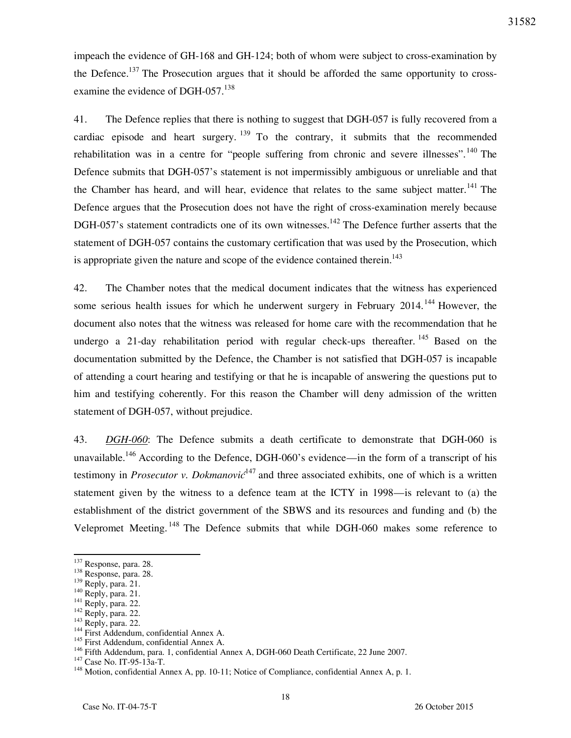impeach the evidence of GH-168 and GH-124; both of whom were subject to cross-examination by the Defence.<sup>137</sup> The Prosecution argues that it should be afforded the same opportunity to crossexamine the evidence of DGH-057. $^{138}$ 

41. The Defence replies that there is nothing to suggest that DGH-057 is fully recovered from a cardiac episode and heart surgery.  $139$  To the contrary, it submits that the recommended rehabilitation was in a centre for "people suffering from chronic and severe illnesses".<sup>140</sup> The Defence submits that DGH-057's statement is not impermissibly ambiguous or unreliable and that the Chamber has heard, and will hear, evidence that relates to the same subject matter.<sup>141</sup> The Defence argues that the Prosecution does not have the right of cross-examination merely because DGH-057's statement contradicts one of its own witnesses.<sup>142</sup> The Defence further asserts that the statement of DGH-057 contains the customary certification that was used by the Prosecution, which is appropriate given the nature and scope of the evidence contained therein.<sup>143</sup>

42. The Chamber notes that the medical document indicates that the witness has experienced some serious health issues for which he underwent surgery in February 2014.<sup>144</sup> However, the document also notes that the witness was released for home care with the recommendation that he undergo a 21-day rehabilitation period with regular check-ups thereafter.  $^{145}$  Based on the documentation submitted by the Defence, the Chamber is not satisfied that DGH-057 is incapable of attending a court hearing and testifying or that he is incapable of answering the questions put to him and testifying coherently. For this reason the Chamber will deny admission of the written statement of DGH-057, without prejudice.

43. *DGH-060*: The Defence submits a death certificate to demonstrate that DGH-060 is unavailable.<sup>146</sup> According to the Defence, DGH-060's evidence—in the form of a transcript of his testimony in *Prosecutor v. Dokmanovic*<sup>147</sup> and three associated exhibits, one of which is a written statement given by the witness to a defence team at the ICTY in 1998—is relevant to (a) the establishment of the district government of the SBWS and its resources and funding and (b) the Velepromet Meeting. <sup>148</sup> The Defence submits that while DGH-060 makes some reference to

<sup>&</sup>lt;sup>137</sup> Response, para. 28.

 $138$  Response, para. 28.

<sup>139</sup> Reply, para. 21.

 $^{140}$  Reply, para. 21.

 $141$  Reply, para. 22.

 $142$  Reply, para. 22.

 $143$  Reply, para. 22.

<sup>&</sup>lt;sup>144</sup> First Addendum, confidential Annex A.

<sup>&</sup>lt;sup>145</sup> First Addendum, confidential Annex A.

<sup>&</sup>lt;sup>146</sup> Fifth Addendum, para. 1, confidential Annex A, DGH-060 Death Certificate, 22 June 2007.

<sup>147</sup> Case No. IT-95-13a-T.

<sup>&</sup>lt;sup>148</sup> Motion, confidential Annex A, pp. 10-11; Notice of Compliance, confidential Annex A, p. 1.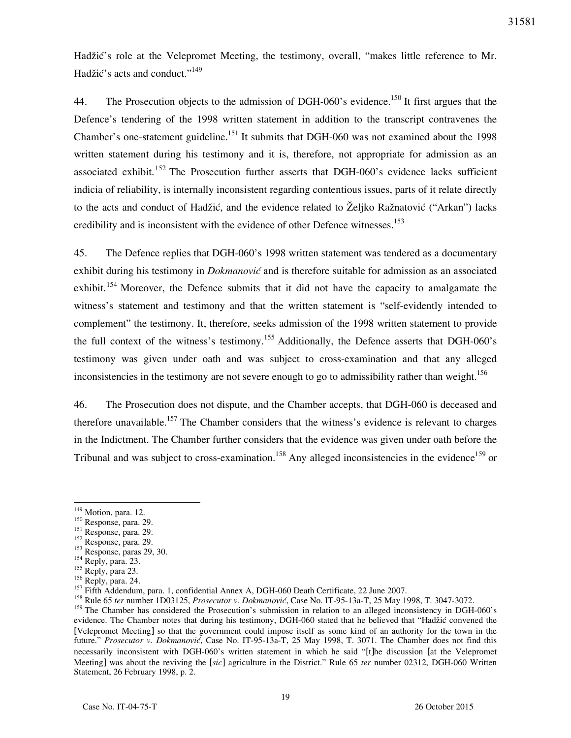Hadžić's role at the Velepromet Meeting, the testimony, overall, "makes little reference to Mr. Hadžić's acts and conduct."<sup>149</sup>

44. The Prosecution objects to the admission of DGH-060's evidence.<sup>150</sup> It first argues that the Defence's tendering of the 1998 written statement in addition to the transcript contravenes the Chamber's one-statement guideline.<sup>151</sup> It submits that DGH-060 was not examined about the 1998 written statement during his testimony and it is, therefore, not appropriate for admission as an associated exhibit.<sup>152</sup> The Prosecution further asserts that DGH-060's evidence lacks sufficient indicia of reliability, is internally inconsistent regarding contentious issues, parts of it relate directly to the acts and conduct of Hadžić, and the evidence related to Željko Ražnatović ("Arkan") lacks credibility and is inconsistent with the evidence of other Defence witnesses.<sup>153</sup>

45. The Defence replies that DGH-060's 1998 written statement was tendered as a documentary exhibit during his testimony in *Dokmanović* and is therefore suitable for admission as an associated exhibit.<sup>154</sup> Moreover, the Defence submits that it did not have the capacity to amalgamate the witness's statement and testimony and that the written statement is "self-evidently intended to complement" the testimony. It, therefore, seeks admission of the 1998 written statement to provide the full context of the witness's testimony.<sup>155</sup> Additionally, the Defence asserts that DGH-060's testimony was given under oath and was subject to cross-examination and that any alleged inconsistencies in the testimony are not severe enough to go to admissibility rather than weight.<sup>156</sup>

46. The Prosecution does not dispute, and the Chamber accepts, that DGH-060 is deceased and therefore unavailable.<sup>157</sup> The Chamber considers that the witness's evidence is relevant to charges in the Indictment. The Chamber further considers that the evidence was given under oath before the Tribunal and was subject to cross-examination.<sup>158</sup> Any alleged inconsistencies in the evidence<sup>159</sup> or

 $\overline{a}$ 

<sup>151</sup> Response, para. 29.

<sup>&</sup>lt;sup>149</sup> Motion, para. 12.

<sup>150</sup> Response, para. 29.

<sup>&</sup>lt;sup>152</sup> Response, para. 29.

<sup>153</sup> Response, paras 29, 30.

 $154$  Reply, para. 23.

<sup>&</sup>lt;sup>155</sup> Reply, para 23.

<sup>156</sup> Reply, para. 24.

<sup>&</sup>lt;sup>157</sup> Fifth Addendum, para. 1, confidential Annex A, DGH-060 Death Certificate, 22 June 2007.

<sup>&</sup>lt;sup>158</sup> Rule 65 *ter* number 1D03125, *Prosecutor v. Dokmanović*, Case No. IT-95-13a-T, 25 May 1998, T. 3047-3072.

<sup>&</sup>lt;sup>159</sup> The Chamber has considered the Prosecution's submission in relation to an alleged inconsistency in DGH-060's evidence. The Chamber notes that during his testimony, DGH-060 stated that he believed that "Hadžić convened the [Velepromet Meeting] so that the government could impose itself as some kind of an authority for the town in the future." *Prosecutor v. Dokmanović*, Case No. IT-95-13a-T, 25 May 1998, T. 3071. The Chamber does not find this necessarily inconsistent with DGH-060's written statement in which he said "[t]he discussion [at the Velepromet Meeting] was about the reviving the [*sic*] agriculture in the District." Rule 65 *ter* number 02312, DGH-060 Written Statement, 26 February 1998, p. 2.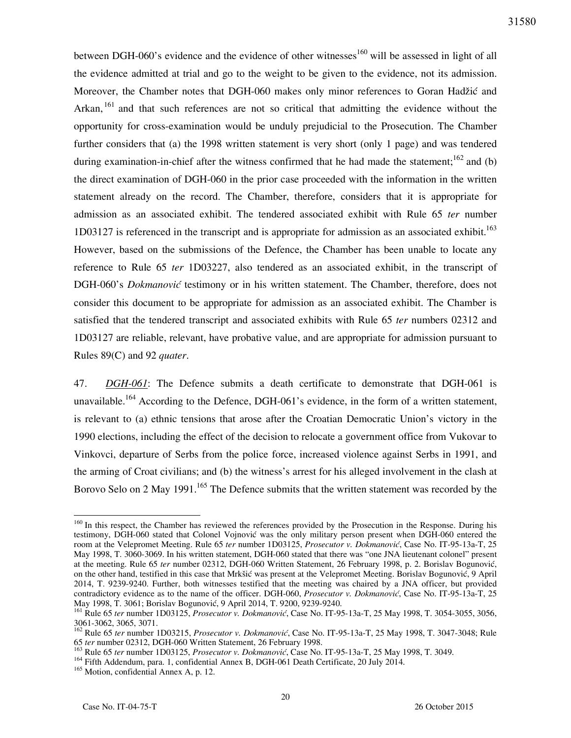between DGH-060's evidence and the evidence of other witnesses<sup>160</sup> will be assessed in light of all the evidence admitted at trial and go to the weight to be given to the evidence, not its admission. Moreover, the Chamber notes that DGH-060 makes only minor references to Goran Hadžić and Arkan, <sup>161</sup> and that such references are not so critical that admitting the evidence without the opportunity for cross-examination would be unduly prejudicial to the Prosecution. The Chamber further considers that (a) the 1998 written statement is very short (only 1 page) and was tendered during examination-in-chief after the witness confirmed that he had made the statement;<sup>162</sup> and (b) the direct examination of DGH-060 in the prior case proceeded with the information in the written statement already on the record. The Chamber, therefore, considers that it is appropriate for admission as an associated exhibit. The tendered associated exhibit with Rule 65 *ter* number  $1D03127$  is referenced in the transcript and is appropriate for admission as an associated exhibit.<sup>163</sup> However, based on the submissions of the Defence, the Chamber has been unable to locate any reference to Rule 65 *ter* 1D03227, also tendered as an associated exhibit, in the transcript of DGH-060's *Dokmanović* testimony or in his written statement. The Chamber, therefore, does not consider this document to be appropriate for admission as an associated exhibit. The Chamber is satisfied that the tendered transcript and associated exhibits with Rule 65 *ter* numbers 02312 and 1D03127 are reliable, relevant, have probative value, and are appropriate for admission pursuant to Rules 89(C) and 92 *quater*.

47. *DGH-061*: The Defence submits a death certificate to demonstrate that DGH-061 is unavailable.<sup>164</sup> According to the Defence, DGH-061's evidence, in the form of a written statement, is relevant to (a) ethnic tensions that arose after the Croatian Democratic Union's victory in the 1990 elections, including the effect of the decision to relocate a government office from Vukovar to Vinkovci, departure of Serbs from the police force, increased violence against Serbs in 1991, and the arming of Croat civilians; and (b) the witness's arrest for his alleged involvement in the clash at Borovo Selo on 2 May 1991.<sup>165</sup> The Defence submits that the written statement was recorded by the

<sup>&</sup>lt;sup>160</sup> In this respect, the Chamber has reviewed the references provided by the Prosecution in the Response. During his testimony, DGH-060 stated that Colonel Vojnović was the only military person present when DGH-060 entered the room at the Velepromet Meeting. Rule 65 *ter* number 1D03125, *Prosecutor v. Dokmanović*, Case No. IT-95-13a-T, 25 May 1998, T. 3060-3069. In his written statement, DGH-060 stated that there was "one JNA lieutenant colonel" present at the meeting. Rule 65 *ter* number 02312, DGH-060 Written Statement, 26 February 1998, p. 2. Borislav Bogunović, on the other hand, testified in this case that Mrkšić was present at the Velepromet Meeting. Borislav Bogunović, 9 April 2014, T. 9239-9240. Further, both witnesses testified that the meeting was chaired by a JNA officer, but provided contradictory evidence as to the name of the officer. DGH-060, *Prosecutor v. Dokmanović*, Case No. IT-95-13a-T, 25 May 1998, T. 3061; Borislav Bogunović, 9 April 2014, T. 9200, 9239-9240.

<sup>161</sup> Rule 65 *ter* number 1D03125, *Prosecutor v. Dokmanović*, Case No. IT-95-13a-T, 25 May 1998, T. 3054-3055, 3056, 3061-3062, 3065, 3071.

<sup>&</sup>lt;sup>162</sup> Rule 65 *ter* number 1D03215, *Prosecutor v. Dokmanović*, Case No. IT-95-13a-T, 25 May 1998, T. 3047-3048; Rule 65 *ter* number 02312, DGH-060 Written Statement, 26 February 1998.

<sup>&</sup>lt;sup>163</sup> Rule 65 *ter* number 1D03125, *Prosecutor v. Dokmanović*, Case No. IT-95-13a-T, 25 May 1998, T. 3049.

<sup>164</sup> Fifth Addendum, para. 1, confidential Annex B, DGH-061 Death Certificate, 20 July 2014.

<sup>&</sup>lt;sup>165</sup> Motion, confidential Annex A, p. 12.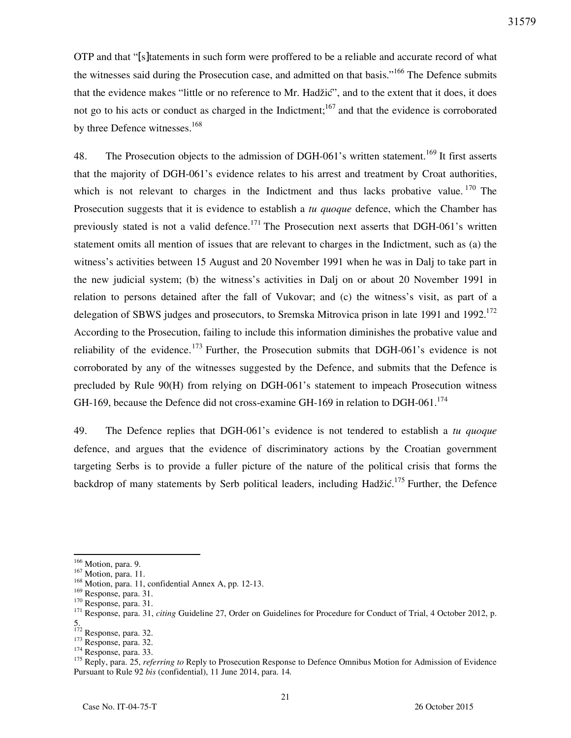OTP and that "[s]tatements in such form were proffered to be a reliable and accurate record of what the witnesses said during the Prosecution case, and admitted on that basis."<sup>166</sup> The Defence submits that the evidence makes "little or no reference to Mr. Hadžić", and to the extent that it does, it does not go to his acts or conduct as charged in the Indictment;  $167$  and that the evidence is corroborated by three Defence witnesses.<sup>168</sup>

48. The Prosecution objects to the admission of DGH-061's written statement.<sup>169</sup> It first asserts that the majority of DGH-061's evidence relates to his arrest and treatment by Croat authorities, which is not relevant to charges in the Indictment and thus lacks probative value.  $170$  The Prosecution suggests that it is evidence to establish a *tu quoque* defence, which the Chamber has previously stated is not a valid defence.<sup>171</sup> The Prosecution next asserts that DGH-061's written statement omits all mention of issues that are relevant to charges in the Indictment, such as (a) the witness's activities between 15 August and 20 November 1991 when he was in Dalj to take part in the new judicial system; (b) the witness's activities in Dalj on or about 20 November 1991 in relation to persons detained after the fall of Vukovar; and (c) the witness's visit, as part of a delegation of SBWS judges and prosecutors, to Sremska Mitrovica prison in late 1991 and 1992.<sup>172</sup> According to the Prosecution, failing to include this information diminishes the probative value and reliability of the evidence.<sup>173</sup> Further, the Prosecution submits that DGH-061's evidence is not corroborated by any of the witnesses suggested by the Defence, and submits that the Defence is precluded by Rule 90(H) from relying on DGH-061's statement to impeach Prosecution witness GH-169, because the Defence did not cross-examine GH-169 in relation to DGH-061.<sup>174</sup>

49. The Defence replies that DGH-061's evidence is not tendered to establish a *tu quoque*  defence, and argues that the evidence of discriminatory actions by the Croatian government targeting Serbs is to provide a fuller picture of the nature of the political crisis that forms the backdrop of many statements by Serb political leaders, including Hadžić.<sup>175</sup> Further, the Defence

<sup>&</sup>lt;sup>166</sup> Motion, para. 9.

<sup>167</sup> Motion, para. 11.

<sup>&</sup>lt;sup>168</sup> Motion, para. 11, confidential Annex A, pp. 12-13.

<sup>&</sup>lt;sup>169</sup> Response, para. 31.

 $170$  Response, para. 31.

<sup>&</sup>lt;sup>171</sup> Response, para. 31, *citing* Guideline 27, Order on Guidelines for Procedure for Conduct of Trial, 4 October 2012, p. 5.

<sup>&</sup>lt;sup>172</sup> Response, para. 32.

<sup>173</sup> Response, para. 32.

<sup>&</sup>lt;sup>174</sup> Response, para. 33.

<sup>&</sup>lt;sup>175</sup> Reply, para. 25, *referring to* Reply to Prosecution Response to Defence Omnibus Motion for Admission of Evidence Pursuant to Rule 92 *bis* (confidential), 11 June 2014, para. 14*.*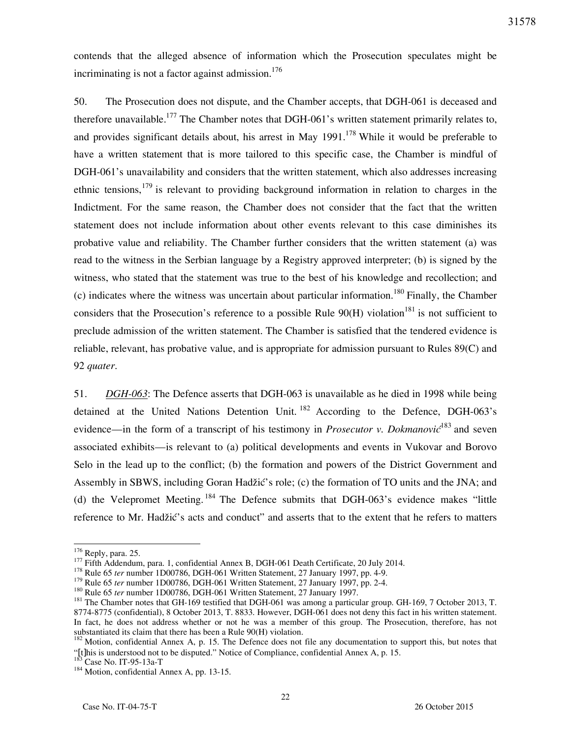contends that the alleged absence of information which the Prosecution speculates might be incriminating is not a factor against admission.<sup>176</sup>

50. The Prosecution does not dispute, and the Chamber accepts, that DGH-061 is deceased and therefore unavailable.<sup>177</sup> The Chamber notes that DGH-061's written statement primarily relates to, and provides significant details about, his arrest in May  $1991$ .<sup>178</sup> While it would be preferable to have a written statement that is more tailored to this specific case, the Chamber is mindful of DGH-061's unavailability and considers that the written statement, which also addresses increasing ethnic tensions,  $179$  is relevant to providing background information in relation to charges in the Indictment. For the same reason, the Chamber does not consider that the fact that the written statement does not include information about other events relevant to this case diminishes its probative value and reliability. The Chamber further considers that the written statement (a) was read to the witness in the Serbian language by a Registry approved interpreter; (b) is signed by the witness, who stated that the statement was true to the best of his knowledge and recollection; and (c) indicates where the witness was uncertain about particular information.<sup>180</sup> Finally, the Chamber considers that the Prosecution's reference to a possible Rule  $90(H)$  violation<sup>181</sup> is not sufficient to preclude admission of the written statement. The Chamber is satisfied that the tendered evidence is reliable, relevant, has probative value, and is appropriate for admission pursuant to Rules 89(C) and 92 *quater*.

51. *DGH-063*: The Defence asserts that DGH-063 is unavailable as he died in 1998 while being detained at the United Nations Detention Unit.<sup>182</sup> According to the Defence, DGH-063's evidence—in the form of a transcript of his testimony in *Prosecutor v. Dokmanovic*<sup>183</sup> and seven associated exhibits—is relevant to (a) political developments and events in Vukovar and Borovo Selo in the lead up to the conflict; (b) the formation and powers of the District Government and Assembly in SBWS, including Goran Hadžić's role; (c) the formation of TO units and the JNA; and (d) the Velepromet Meeting. <sup>184</sup> The Defence submits that DGH-063's evidence makes "little" reference to Mr. Hadžić's acts and conduct" and asserts that to the extent that he refers to matters

<sup>&</sup>lt;sup>176</sup> Reply, para. 25.

<sup>&</sup>lt;sup>177</sup> Fifth Addendum, para. 1, confidential Annex B, DGH-061 Death Certificate, 20 July 2014.

<sup>&</sup>lt;sup>178</sup> Rule 65 *ter* number 1D00786, DGH-061 Written Statement, 27 January 1997, pp. 4-9.

<sup>179</sup> Rule 65 *ter* number 1D00786, DGH-061 Written Statement, 27 January 1997, pp. 2-4.

<sup>180</sup> Rule 65 *ter* number 1D00786, DGH-061 Written Statement, 27 January 1997.

<sup>&</sup>lt;sup>181</sup> The Chamber notes that GH-169 testified that DGH-061 was among a particular group. GH-169, 7 October 2013, T. 8774-8775 (confidential), 8 October 2013, T. 8833. However, DGH-061 does not deny this fact in his written statement. In fact, he does not address whether or not he was a member of this group. The Prosecution, therefore, has not substantiated its claim that there has been a Rule 90(H) violation.

<sup>&</sup>lt;sup>182</sup> Motion, confidential Annex A, p. 15. The Defence does not file any documentation to support this, but notes that "[t]his is understood not to be disputed." Notice of Compliance, confidential Annex A, p. 15.

Case No. IT-95-13a-T

<sup>&</sup>lt;sup>184</sup> Motion, confidential Annex A, pp. 13-15.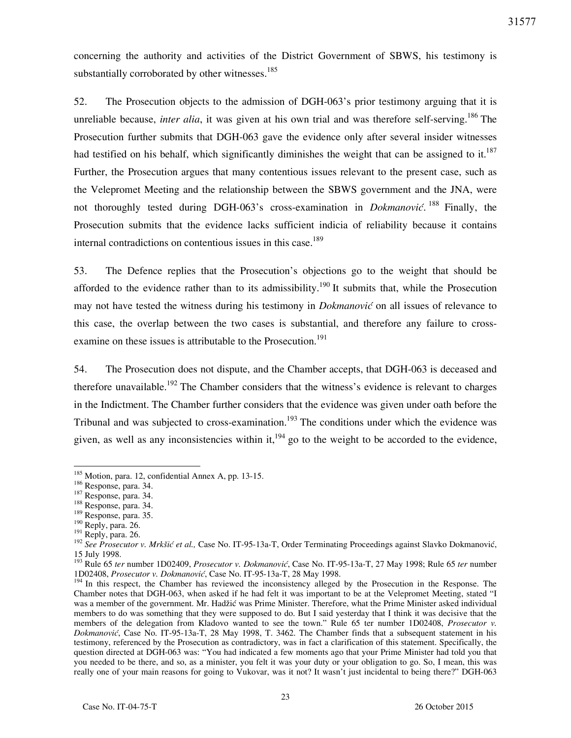concerning the authority and activities of the District Government of SBWS, his testimony is substantially corroborated by other witnesses. $185$ 

52. The Prosecution objects to the admission of DGH-063's prior testimony arguing that it is unreliable because, *inter alia*, it was given at his own trial and was therefore self-serving.<sup>186</sup> The Prosecution further submits that DGH-063 gave the evidence only after several insider witnesses had testified on his behalf, which significantly diminishes the weight that can be assigned to it.<sup>187</sup> Further, the Prosecution argues that many contentious issues relevant to the present case, such as the Velepromet Meeting and the relationship between the SBWS government and the JNA, were not thoroughly tested during DGH-063's cross-examination in *Dokmanović*.<sup>188</sup> Finally, the Prosecution submits that the evidence lacks sufficient indicia of reliability because it contains internal contradictions on contentious issues in this case.<sup>189</sup>

53. The Defence replies that the Prosecution's objections go to the weight that should be afforded to the evidence rather than to its admissibility.<sup>190</sup> It submits that, while the Prosecution may not have tested the witness during his testimony in *Dokmanović* on all issues of relevance to this case, the overlap between the two cases is substantial, and therefore any failure to crossexamine on these issues is attributable to the Prosecution.<sup>191</sup>

54. The Prosecution does not dispute, and the Chamber accepts, that DGH-063 is deceased and therefore unavailable.<sup>192</sup> The Chamber considers that the witness's evidence is relevant to charges in the Indictment. The Chamber further considers that the evidence was given under oath before the Tribunal and was subjected to cross-examination.<sup>193</sup> The conditions under which the evidence was given, as well as any inconsistencies within it,<sup>194</sup> go to the weight to be accorded to the evidence,

 $185$  Motion, para. 12, confidential Annex A, pp. 13-15.

<sup>186</sup> Response, para. 34.

<sup>187</sup> Response, para. 34.

<sup>188</sup> Response, para. 34.

<sup>189</sup> Response, para. 35.

<sup>190</sup> Reply, para. 26.

 $191$  Reply, para. 26.

<sup>192</sup> *See Prosecutor v. Mrkšić et al.,* Case No. IT-95-13a-T, Order Terminating Proceedings against Slavko Dokmanović, 15 July 1998.

<sup>193</sup> Rule 65 *ter* number 1D02409, *Prosecutor v. Dokmanović*, Case No. IT-95-13a-T, 27 May 1998; Rule 65 *ter* number 1D02408, *Prosecutor v. Dokmanović*, Case No. IT-95-13a-T, 28 May 1998.

<sup>&</sup>lt;sup>194</sup> In this respect, the Chamber has reviewed the inconsistency alleged by the Prosecution in the Response. The Chamber notes that DGH-063, when asked if he had felt it was important to be at the Velepromet Meeting, stated "I was a member of the government. Mr. Hadžić was Prime Minister. Therefore, what the Prime Minister asked individual members to do was something that they were supposed to do. But I said yesterday that I think it was decisive that the members of the delegation from Kladovo wanted to see the town." Rule 65 ter number 1D02408, *Prosecutor v. Dokmanović*, Case No. IT-95-13a-T, 28 May 1998, T. 3462. The Chamber finds that a subsequent statement in his testimony, referenced by the Prosecution as contradictory, was in fact a clarification of this statement. Specifically, the question directed at DGH-063 was: "You had indicated a few moments ago that your Prime Minister had told you that you needed to be there, and so, as a minister, you felt it was your duty or your obligation to go. So, I mean, this was really one of your main reasons for going to Vukovar, was it not? It wasn't just incidental to being there?" DGH-063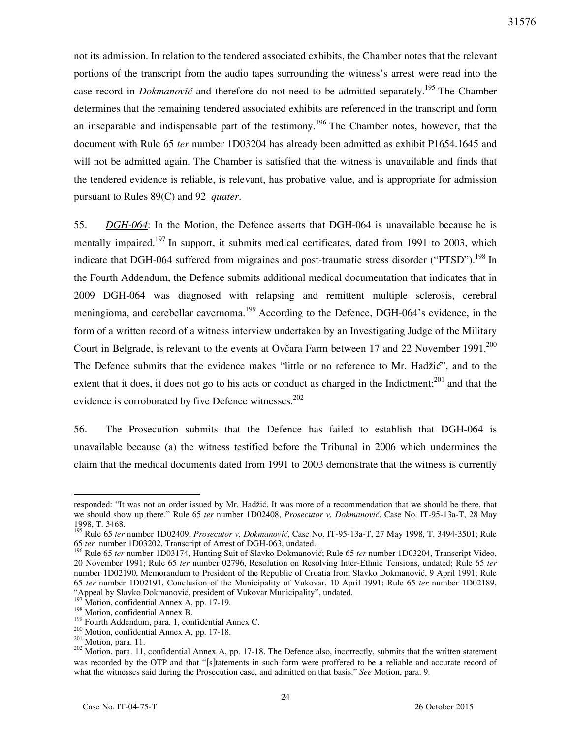not its admission. In relation to the tendered associated exhibits, the Chamber notes that the relevant portions of the transcript from the audio tapes surrounding the witness's arrest were read into the case record in *Dokmanović* and therefore do not need to be admitted separately. <sup>195</sup> The Chamber determines that the remaining tendered associated exhibits are referenced in the transcript and form an inseparable and indispensable part of the testimony.<sup>196</sup> The Chamber notes, however, that the document with Rule 65 *ter* number 1D03204 has already been admitted as exhibit P1654.1645 and will not be admitted again. The Chamber is satisfied that the witness is unavailable and finds that the tendered evidence is reliable, is relevant, has probative value, and is appropriate for admission pursuant to Rules 89(C) and 92 *quater*.

55. *DGH-064*: In the Motion, the Defence asserts that DGH-064 is unavailable because he is mentally impaired.<sup>197</sup> In support, it submits medical certificates, dated from 1991 to 2003, which indicate that DGH-064 suffered from migraines and post-traumatic stress disorder ("PTSD").<sup>198</sup> In the Fourth Addendum, the Defence submits additional medical documentation that indicates that in 2009 DGH-064 was diagnosed with relapsing and remittent multiple sclerosis, cerebral meningioma, and cerebellar cavernoma.<sup>199</sup> According to the Defence, DGH-064's evidence, in the form of a written record of a witness interview undertaken by an Investigating Judge of the Military Court in Belgrade, is relevant to the events at Ovčara Farm between 17 and 22 November 1991.<sup>200</sup> The Defence submits that the evidence makes "little or no reference to Mr. Hadžić", and to the extent that it does, it does not go to his acts or conduct as charged in the Indictment;  $201$  and that the evidence is corroborated by five Defence witnesses. $202$ 

56. The Prosecution submits that the Defence has failed to establish that DGH-064 is unavailable because (a) the witness testified before the Tribunal in 2006 which undermines the claim that the medical documents dated from 1991 to 2003 demonstrate that the witness is currently

responded: "It was not an order issued by Mr. Hadžić. It was more of a recommendation that we should be there, that we should show up there." Rule 65 *ter* number 1D02408, *Prosecutor v. Dokmanović*, Case No. IT-95-13a-T, 28 May 1998, T. 3468.

<sup>195</sup> Rule 65 *ter* number 1D02409, *Prosecutor v. Dokmanović*, Case No. IT-95-13a-T, 27 May 1998, T. 3494-3501; Rule 65 *ter* number 1D03202, Transcript of Arrest of DGH-063, undated.

<sup>196</sup> Rule 65 *ter* number 1D03174, Hunting Suit of Slavko Dokmanović; Rule 65 *ter* number 1D03204, Transcript Video, 20 November 1991; Rule 65 *ter* number 02796, Resolution on Resolving Inter-Ethnic Tensions, undated; Rule 65 *ter*  number 1D02190, Memorandum to President of the Republic of Croatia from Slavko Dokmanović, 9 April 1991; Rule 65 *ter* number 1D02191, Conclusion of the Municipality of Vukovar, 10 April 1991; Rule 65 *ter* number 1D02189, "Appeal by Slavko Dokmanović, president of Vukovar Municipality", undated.

Motion, confidential Annex A, pp. 17-19.

<sup>&</sup>lt;sup>198</sup> Motion, confidential Annex B.

<sup>&</sup>lt;sup>199</sup> Fourth Addendum, para. 1, confidential Annex C.

<sup>200</sup> Motion, confidential Annex A, pp. 17-18.

 $201$  Motion, para. 11.

<sup>&</sup>lt;sup>202</sup> Motion, para. 11, confidential Annex A, pp. 17-18. The Defence also, incorrectly, submits that the written statement was recorded by the OTP and that "[s]tatements in such form were proffered to be a reliable and accurate record of what the witnesses said during the Prosecution case, and admitted on that basis." *See* Motion, para. 9.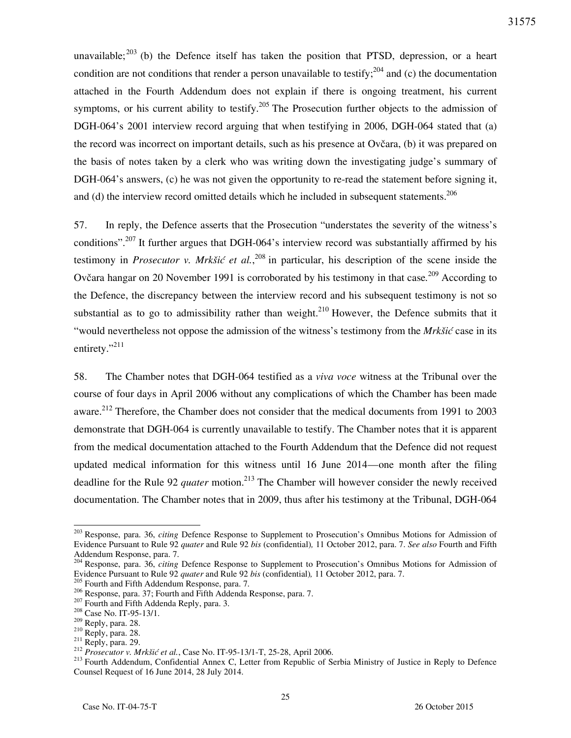unavailable; $^{203}$  (b) the Defence itself has taken the position that PTSD, depression, or a heart condition are not conditions that render a person unavailable to testify;  $^{204}$  and (c) the documentation attached in the Fourth Addendum does not explain if there is ongoing treatment, his current symptoms, or his current ability to testify.<sup>205</sup> The Prosecution further objects to the admission of DGH-064's 2001 interview record arguing that when testifying in 2006, DGH-064 stated that (a) the record was incorrect on important details, such as his presence at Ovčara, (b) it was prepared on the basis of notes taken by a clerk who was writing down the investigating judge's summary of DGH-064's answers, (c) he was not given the opportunity to re-read the statement before signing it, and (d) the interview record omitted details which he included in subsequent statements.<sup>206</sup>

57. In reply, the Defence asserts that the Prosecution "understates the severity of the witness's conditions".<sup>207</sup> It further argues that DGH-064's interview record was substantially affirmed by his testimony in *Prosecutor v. Mrkšić et al.*<sup>208</sup> in particular, his description of the scene inside the Ovčara hangar on 20 November 1991 is corroborated by his testimony in that case.<sup>209</sup> According to the Defence, the discrepancy between the interview record and his subsequent testimony is not so substantial as to go to admissibility rather than weight.<sup>210</sup> However, the Defence submits that it "would nevertheless not oppose the admission of the witness's testimony from the *Mrkšić* case in its entirety." $^{211}$ 

58. The Chamber notes that DGH-064 testified as a *viva voce* witness at the Tribunal over the course of four days in April 2006 without any complications of which the Chamber has been made aware.<sup>212</sup> Therefore, the Chamber does not consider that the medical documents from 1991 to 2003 demonstrate that DGH-064 is currently unavailable to testify. The Chamber notes that it is apparent from the medical documentation attached to the Fourth Addendum that the Defence did not request updated medical information for this witness until 16 June 2014—one month after the filing deadline for the Rule 92 *quater* motion.<sup>213</sup> The Chamber will however consider the newly received documentation. The Chamber notes that in 2009, thus after his testimony at the Tribunal, DGH-064

<sup>203</sup> Response, para. 36, *citing* Defence Response to Supplement to Prosecution's Omnibus Motions for Admission of Evidence Pursuant to Rule 92 *quater* and Rule 92 *bis* (confidential)*,* 11 October 2012, para. 7. *See also* Fourth and Fifth Addendum Response, para. 7.

<sup>204</sup> Response, para. 36, *citing* Defence Response to Supplement to Prosecution's Omnibus Motions for Admission of Evidence Pursuant to Rule 92 *quater* and Rule 92 *bis* (confidential)*,* 11 October 2012, para. 7.

<sup>&</sup>lt;sup>205</sup> Fourth and Fifth Addendum Response, para. 7.

<sup>206</sup> Response, para. 37; Fourth and Fifth Addenda Response, para. 7.

<sup>&</sup>lt;sup>207</sup> Fourth and Fifth Addenda Reply, para. 3.

<sup>&</sup>lt;sup>208</sup> Case No. IT-95-13/1.

<sup>209</sup> Reply, para. 28.

 $^{210}$  Reply, para. 28.

 $211$  Reply, para. 29.

<sup>212</sup> *Prosecutor v. Mrk{i} et al.*, Case No. IT-95-13/1-T, 25-28, April 2006.

<sup>&</sup>lt;sup>213</sup> Fourth Addendum, Confidential Annex C, Letter from Republic of Serbia Ministry of Justice in Reply to Defence Counsel Request of 16 June 2014, 28 July 2014.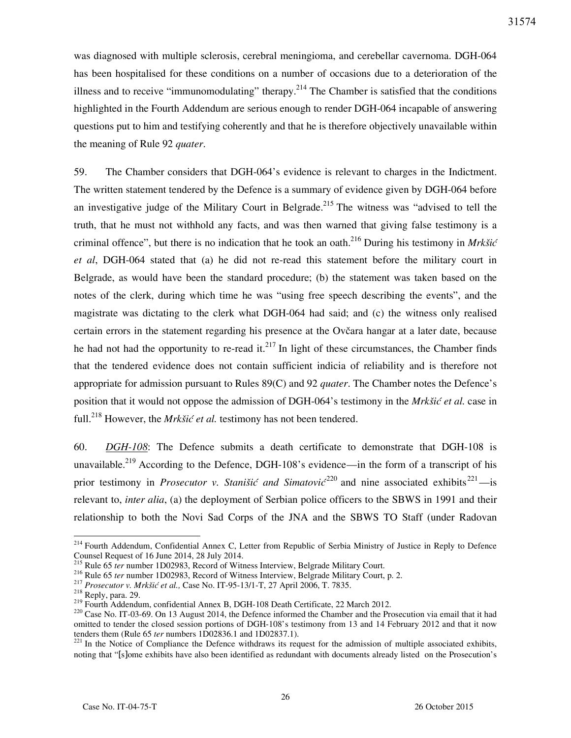was diagnosed with multiple sclerosis, cerebral meningioma, and cerebellar cavernoma. DGH-064 has been hospitalised for these conditions on a number of occasions due to a deterioration of the illness and to receive "immunomodulating" therapy.<sup>214</sup> The Chamber is satisfied that the conditions highlighted in the Fourth Addendum are serious enough to render DGH-064 incapable of answering questions put to him and testifying coherently and that he is therefore objectively unavailable within the meaning of Rule 92 *quater*.

59. The Chamber considers that DGH-064's evidence is relevant to charges in the Indictment. The written statement tendered by the Defence is a summary of evidence given by DGH-064 before an investigative judge of the Military Court in Belgrade.<sup>215</sup> The witness was "advised to tell the truth, that he must not withhold any facts, and was then warned that giving false testimony is a criminal offence", but there is no indication that he took an oath.<sup>216</sup> During his testimony in *Mrkšić et al*, DGH-064 stated that (a) he did not re-read this statement before the military court in Belgrade, as would have been the standard procedure; (b) the statement was taken based on the notes of the clerk, during which time he was "using free speech describing the events", and the magistrate was dictating to the clerk what DGH-064 had said; and (c) the witness only realised certain errors in the statement regarding his presence at the Ovčara hangar at a later date, because he had not had the opportunity to re-read it.<sup>217</sup> In light of these circumstances, the Chamber finds that the tendered evidence does not contain sufficient indicia of reliability and is therefore not appropriate for admission pursuant to Rules 89(C) and 92 *quater*. The Chamber notes the Defence's position that it would not oppose the admission of DGH-064's testimony in the *Mrkšić et al.* case in full.<sup>218</sup> However, the *Mrkšić et al.* testimony has not been tendered.

60. *DGH-108*: The Defence submits a death certificate to demonstrate that DGH-108 is unavailable.<sup>219</sup> According to the Defence, DGH-108's evidence—in the form of a transcript of his prior testimony in *Prosecutor v. Stanišić and Simatović*<sup>220</sup> and nine associated exhibits<sup>221</sup>—is relevant to, *inter alia*, (a) the deployment of Serbian police officers to the SBWS in 1991 and their relationship to both the Novi Sad Corps of the JNA and the SBWS TO Staff (under Radovan

 $\overline{a}$ <sup>214</sup> Fourth Addendum, Confidential Annex C, Letter from Republic of Serbia Ministry of Justice in Reply to Defence Counsel Request of 16 June 2014, 28 July 2014.

<sup>215</sup> Rule 65 *ter* number 1D02983, Record of Witness Interview, Belgrade Military Court.

<sup>216</sup> Rule 65 *ter* number 1D02983, Record of Witness Interview, Belgrade Military Court, p. 2.

<sup>217</sup> *Prosecutor v. Mrkšić et al.,* Case No. IT-95-13/1-T, 27 April 2006, T. 7835.

 $218$  Reply, para. 29.

<sup>&</sup>lt;sup>219</sup> Fourth Addendum, confidential Annex B, DGH-108 Death Certificate, 22 March 2012.

<sup>&</sup>lt;sup>220</sup> Case No. IT-03-69. On 13 August 2014, the Defence informed the Chamber and the Prosecution via email that it had omitted to tender the closed session portions of DGH-108's testimony from 13 and 14 February 2012 and that it now tenders them (Rule 65 *ter* numbers 1D02836.1 and 1D02837.1).

 $221$  In the Notice of Compliance the Defence withdraws its request for the admission of multiple associated exhibits, noting that "[s]ome exhibits have also been identified as redundant with documents already listed on the Prosecution's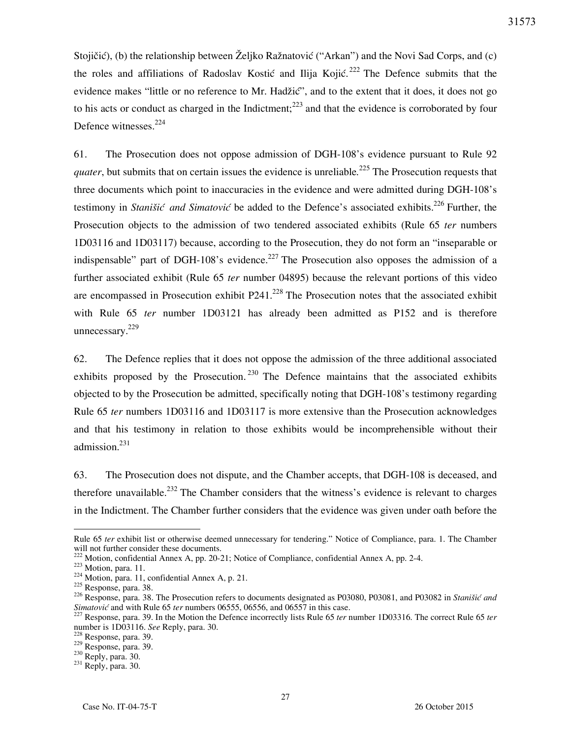Stojičić), (b) the relationship between Željko Ražnatović ("Arkan") and the Novi Sad Corps, and (c) the roles and affiliations of Radoslav Kostić and Ilija Kojić.<sup>222</sup> The Defence submits that the evidence makes "little or no reference to Mr. Hadžić", and to the extent that it does, it does not go to his acts or conduct as charged in the Indictment; $^{223}$  and that the evidence is corroborated by four Defence witnesses.<sup>224</sup>

61. The Prosecution does not oppose admission of DGH-108's evidence pursuant to Rule 92 *quater*, but submits that on certain issues the evidence is unreliable*.* <sup>225</sup> The Prosecution requests that three documents which point to inaccuracies in the evidence and were admitted during DGH-108's testimony in *Stanišić and Simatović* be added to the Defence's associated exhibits.<sup>226</sup> Further, the Prosecution objects to the admission of two tendered associated exhibits (Rule 65 *ter* numbers 1D03116 and 1D03117) because, according to the Prosecution, they do not form an "inseparable or indispensable" part of DGH-108's evidence.<sup>227</sup> The Prosecution also opposes the admission of a further associated exhibit (Rule 65 *ter* number 04895) because the relevant portions of this video are encompassed in Prosecution exhibit  $P241<sup>228</sup>$  The Prosecution notes that the associated exhibit with Rule 65 *ter* number 1D03121 has already been admitted as P152 and is therefore unnecessary.<sup>229</sup>

62. The Defence replies that it does not oppose the admission of the three additional associated exhibits proposed by the Prosecution.  $230$  The Defence maintains that the associated exhibits objected to by the Prosecution be admitted, specifically noting that DGH-108's testimony regarding Rule 65 *ter* numbers 1D03116 and 1D03117 is more extensive than the Prosecution acknowledges and that his testimony in relation to those exhibits would be incomprehensible without their admission.<sup>231</sup>

63. The Prosecution does not dispute, and the Chamber accepts, that DGH-108 is deceased, and therefore unavailable.<sup>232</sup> The Chamber considers that the witness's evidence is relevant to charges in the Indictment. The Chamber further considers that the evidence was given under oath before the

 $\overline{a}$ 

31573

Rule 65 *ter* exhibit list or otherwise deemed unnecessary for tendering." Notice of Compliance, para. 1. The Chamber will not further consider these documents.

<sup>&</sup>lt;sup>222</sup> Motion, confidential Annex A, pp. 20-21; Notice of Compliance, confidential Annex A, pp. 2-4.

<sup>223</sup> Motion, para. 11.

 $224$  Motion, para. 11, confidential Annex A, p. 21.

<sup>225</sup> Response, para. 38.

<sup>&</sup>lt;sup>226</sup> Response, para. 38. The Prosecution refers to documents designated as P03080, P03081, and P03082 in *Stanišić and Simatović* and with Rule 65 *ter* numbers 06555, 06556, and 06557 in this case.

<sup>227</sup> Response, para. 39. In the Motion the Defence incorrectly lists Rule 65 *ter* number 1D03316. The correct Rule 65 *ter*  number is 1D03116. *See* Reply, para. 30.

<sup>228</sup> Response, para. 39.

<sup>229</sup> Response, para. 39.

 $230$  Reply, para. 30.

 $231$  Reply, para. 30.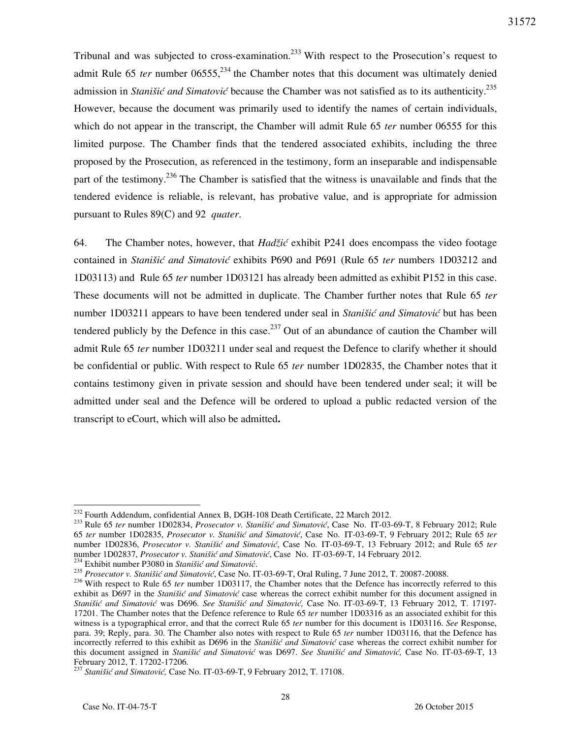Tribunal and was subjected to cross-examination.<sup>233</sup> With respect to the Prosecution's request to admit Rule 65 *ter* number  $06555$ <sup>234</sup>, the Chamber notes that this document was ultimately denied admission in *Stanišić and Simatović* because the Chamber was not satisfied as to its authenticity.<sup>235</sup> However, because the document was primarily used to identify the names of certain individuals, which do not appear in the transcript, the Chamber will admit Rule 65 *ter* number 06555 for this limited purpose. The Chamber finds that the tendered associated exhibits, including the three proposed by the Prosecution, as referenced in the testimony, form an inseparable and indispensable part of the testimony.<sup>236</sup> The Chamber is satisfied that the witness is unavailable and finds that the tendered evidence is reliable, is relevant, has probative value, and is appropriate for admission pursuant to Rules 89(C) and 92 *quater*.

64. The Chamber notes, however, that *Hadžić* exhibit P241 does encompass the video footage contained in *Stanišić and Simatović* exhibits P690 and P691 (Rule 65 *ter* numbers 1D03212 and 1D03113) and Rule 65 *ter* number 1D03121 has already been admitted as exhibit P152 in this case. These documents will not be admitted in duplicate. The Chamber further notes that Rule 65 *ter*  number 1D03211 appears to have been tendered under seal in *Stanišić and Simatović* but has been tendered publicly by the Defence in this case.<sup>237</sup> Out of an abundance of caution the Chamber will admit Rule 65 *ter* number 1D03211 under seal and request the Defence to clarify whether it should be confidential or public. With respect to Rule 65 *ter* number 1D02835, the Chamber notes that it contains testimony given in private session and should have been tendered under seal; it will be admitted under seal and the Defence will be ordered to upload a public redacted version of the transcript to eCourt, which will also be admitted**.** 

<sup>&</sup>lt;sup>232</sup> Fourth Addendum, confidential Annex B, DGH-108 Death Certificate, 22 March 2012.

<sup>&</sup>lt;sup>233</sup> Rule 65 *ter* number 1D02834, *Prosecutor v. Stanišić and Simatović*, Case No. IT-03-69-T, 8 February 2012; Rule 65 *ter* number 1D02835, *Prosecutor v. Stani{i} and Simatovi}*, Case No. IT-03-69-T, 9 February 2012; Rule 65 *ter* number 1D02836, Prosecutor v. Stanišić and Simatović, Case No. IT-03-69-T, 13 February 2012; and Rule 65 ter number 1D02837, Prosecutor v. Stanišić and Simatović, Case No. IT-03-69-T, 14 February 2012.

<sup>234</sup> Exhibit number P3080 in *Stanišić and Simatović*.

<sup>235</sup> *Prosecutor v. Stanišić and Simatović*, Case No. IT-03-69-T, Oral Ruling, 7 June 2012, T. 20087-20088.

<sup>&</sup>lt;sup>236</sup> With respect to Rule 65 *ter* number 1D03117, the Chamber notes that the Defence has incorrectly referred to this exhibit as D697 in the *Stanišić and Simatović* case whereas the correct exhibit number for this document assigned in *Stanišić and Simatović* was D696. *See Stanišić and Simatović,* Case No. IT-03-69-T, 13 February 2012, T. 17197- 17201. The Chamber notes that the Defence reference to Rule 65 *ter* number 1D03316 as an associated exhibit for this witness is a typographical error, and that the correct Rule 65 *ter* number for this document is 1D03116. *See* Response, para. 39; Reply, para. 30. The Chamber also notes with respect to Rule 65 *ter* number 1D03116, that the Defence has incorrectly referred to this exhibit as D696 in the *Stanišić and Simatović* case whereas the correct exhibit number for this document assigned in *Stanišić and Simatović* was D697. *See Stanišić and Simatović,* Case No. IT-03-69-T, 13 February 2012, T. 17202-17206.

<sup>237</sup> *Stanišić and Simatović,* Case No. IT-03-69-T, 9 February 2012, T. 17108.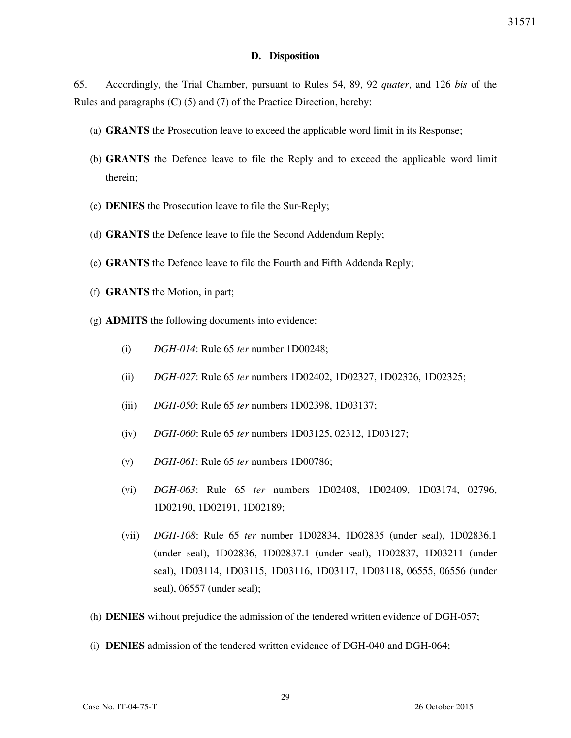### **D. Disposition**

65. Accordingly, the Trial Chamber, pursuant to Rules 54, 89, 92 *quater*, and 126 *bis* of the Rules and paragraphs (C) (5) and (7) of the Practice Direction, hereby:

- (a) **GRANTS** the Prosecution leave to exceed the applicable word limit in its Response;
- (b) **GRANTS** the Defence leave to file the Reply and to exceed the applicable word limit therein;
- (c) **DENIES** the Prosecution leave to file the Sur-Reply;
- (d) **GRANTS** the Defence leave to file the Second Addendum Reply;
- (e) **GRANTS** the Defence leave to file the Fourth and Fifth Addenda Reply;
- (f) **GRANTS** the Motion, in part;
- (g) **ADMITS** the following documents into evidence:
	- (i) *DGH-014*: Rule 65 *ter* number 1D00248;
	- (ii) *DGH-027*: Rule 65 *ter* numbers 1D02402, 1D02327, 1D02326, 1D02325;
	- (iii) *DGH-050*: Rule 65 *ter* numbers 1D02398, 1D03137;
	- (iv) *DGH-060*: Rule 65 *ter* numbers 1D03125, 02312, 1D03127;
	- (v) *DGH-061*: Rule 65 *ter* numbers 1D00786;
	- (vi) *DGH-063*: Rule 65 *ter* numbers 1D02408, 1D02409, 1D03174, 02796, 1D02190, 1D02191, 1D02189;
	- (vii) *DGH-108*: Rule 65 *ter* number 1D02834, 1D02835 (under seal), 1D02836.1 (under seal), 1D02836, 1D02837.1 (under seal), 1D02837, 1D03211 (under seal), 1D03114, 1D03115, 1D03116, 1D03117, 1D03118, 06555, 06556 (under seal), 06557 (under seal);
- (h) **DENIES** without prejudice the admission of the tendered written evidence of DGH-057;
- (i) **DENIES** admission of the tendered written evidence of DGH-040 and DGH-064;